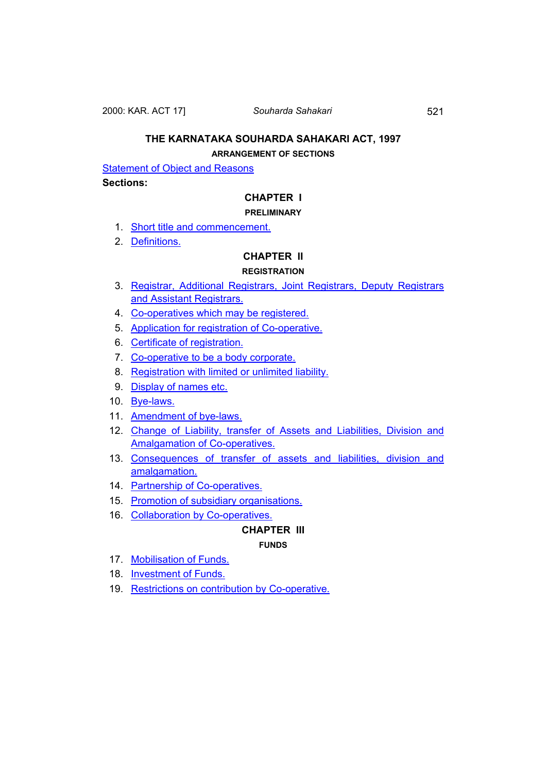2000: KAR. ACT 17] *Souharda Sahakari* 521

# **THE KARNATAKA SOUHARDA SAHAKARI ACT, 1997**

# **ARRANGEMENT OF SECTIONS**

**[Statement of Object and Reasons](#page-3-0)** 

# **Sections:**

# **CHAPTER I**

# **PRELIMINARY**

- 1. [Short title and commencement.](#page-7-0)
- 2. [Definitions.](#page-7-0)

# **CHAPTER II**

# **REGISTRATION**

- 3. [Registrar, Additional Registrars, Joint Registrars, Deputy Registrars](#page-10-0)  [and Assistant Registrars.](#page-10-0)
- 4. [Co-operatives which may be registered.](#page-11-0)
- 5. [Application for registration of Co-operative.](#page-11-0)
- 6. [Certificate of registration.](#page-13-0)
- 7. [Co-operative to be a body corporate.](#page-13-0)
- 8. [Registration with limited or unlimited liability.](#page-13-0)
- 9. [Display of names etc.](#page-14-0)
- 10. [Bye-laws.](#page-14-0)
- 11. [Amendment of bye-laws.](#page-16-0)
- 12. [Change of Liability, transfer of Assets and Liabilities, Division and](#page-18-0)  [Amalgamation of Co-operatives.](#page-18-0)
- 13. [Consequences of transfer of assets and liabilities, division and](#page-19-0)  [amalgamation.](#page-19-0)
- 14. [Partnership of Co-operatives.](#page-20-0)
- 15. [Promotion of subsidiary organisations.](#page-20-0)
- 16. [Collaboration by Co-operatives.](#page-20-0)

# **CHAPTER III**

# **FUNDS**

- 17. [Mobilisation of Funds.](#page-21-0)
- 18. [Investment of Funds.](#page-21-0)
- 19. [Restrictions on contribution by Co-operative.](#page-21-0)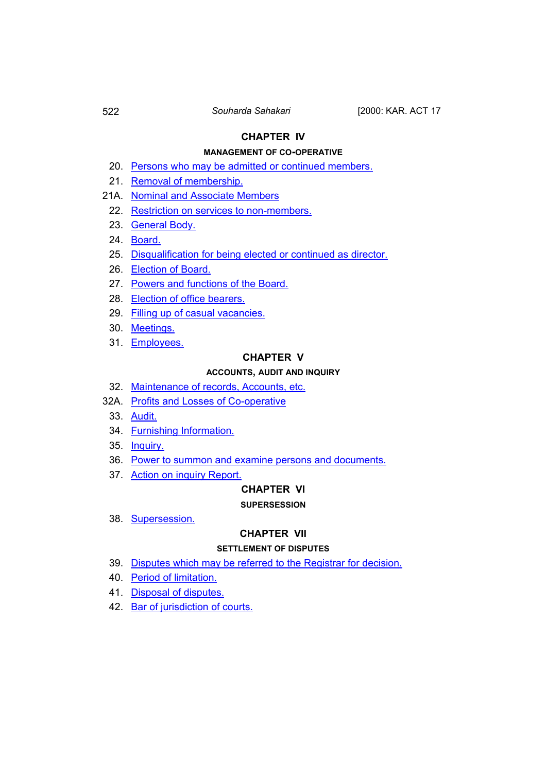# **CHAPTER IV**

# **MANAGEMENT OF CO-OPERATIVE**

- 20. [Persons who may be admitted or continued members.](#page-22-0)
- 21. [Removal of membership.](#page-22-0)
- 21A. [Nominal and Associate Members](#page-23-0)
	- 22. [Restriction on services to non-members.](#page-23-0)
	- 23. [General Body.](#page-24-0)
	- 24. [Board.](#page-25-0)
	- 25. [Disqualification for being elected or continued as director.](#page-25-0)
	- 26. [Election of Board.](#page-26-0)
	- 27. [Powers and functions of the Board.](#page-27-0)
	- 28. [Election of office bearers.](#page-28-0)
	- 29. [Filling up of casual vacancies.](#page-29-0)
	- 30. [Meetings.](#page-29-0)
	- 31. [Employees.](#page-29-0)

# **CHAPTER V**

# **ACCOUNTS, AUDIT AND INQUIRY**

- 32. [Maintenance of records, Accounts, etc.](#page-30-0)
- 32A. [Profits and Losses of Co-operative](#page-31-0)
	- 33. [Audit.](#page-31-0)
	- 34. [Furnishing Information.](#page-32-0)
	- 35. [Inquiry.](#page-32-0)
	- 36. [Power to summon and examine persons and documents.](#page-33-0)
	- 37. [Action on inquiry Report.](#page-34-0)

## **CHAPTER VI**

#### **SUPERSESSION**

38. [Supersession.](#page-35-0)

## **CHAPTER VII**

## **SETTLEMENT OF DISPUTES**

- 39. [Disputes which may be referred to the Registrar for decision.](#page-36-0)
- 40. [Period of limitation.](#page-38-0)
- 41. [Disposal of disputes.](#page-38-0)
- 42. [Bar of jurisdiction of courts.](#page-39-0)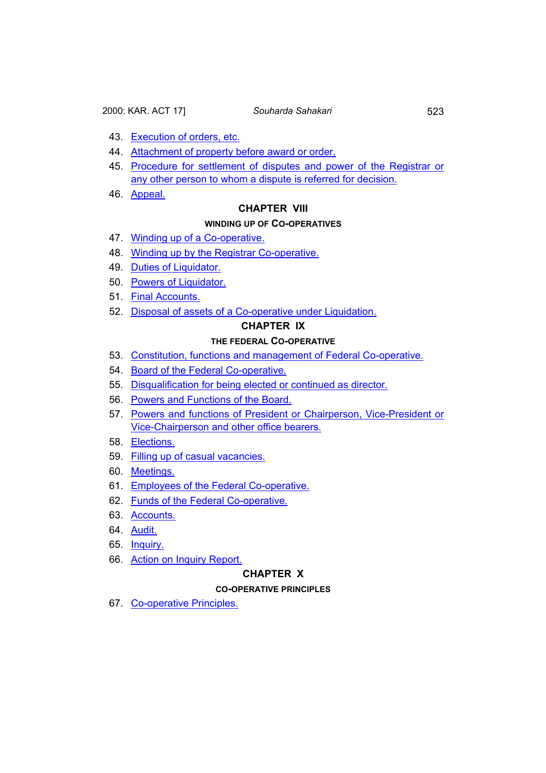- 43. [Execution of orders, etc.](#page-39-0)
- 44. [Attachment of property before award or order.](#page-41-0)
- 45. [Procedure for settlement of disputes and power of the Registrar or](#page-42-0)  [any other person to whom a dispute is referred for decision.](#page-42-0)
- 46. [Appeal.](#page-43-0)

## **CHAPTER VIII**

#### **WINDING UP OF CO-OPERATIVES**

- 47. [Winding up of a Co-operative.](#page-43-0)
- 48. [Winding up by the Registrar Co-operative.](#page-44-0)
- 49. [Duties of Liquidator.](#page-46-0)
- 50. [Powers of Liquidator.](#page-47-0)
- 51. [Final Accounts.](#page-48-0)
- 52. [Disposal of assets of a Co-operative under Liquidation.](#page-48-0)

# **CHAPTER IX**

# **THE FEDERAL CO-OPERATIVE**

- 53. [Constitution, functions and management of Federal Co-operative.](#page-48-0)
- 54. [Board of the Federal Co-operative.](#page-51-0)
- 55. [Disqualification for being elected or continued as director.](#page-51-0)
- 56. [Powers and Functions of the Board.](#page-52-0)
- 57. [Powers and functions of President or Chairperson, Vice-President or](#page-53-0)  [Vice-Chairperson and other office bearers.](#page-53-0)
- 58. [Elections.](#page-53-0)
- 59. [Filling up of casual vacancies.](#page-54-0)
- 60. [Meetings.](#page-54-0)
- 61. [Employees of the Federal Co-operative.](#page-54-0)
- 62. [Funds of the Federal Co-operative.](#page-55-0)
- 63. [Accounts.](#page-56-0)
- 64. [Audit.](#page-56-0)
- 65. [Inquiry.](#page-57-0)
- 66. [Action on Inquiry Report.](#page-58-0)

### **CHAPTER X**

# **CO-OPERATIVE PRINCIPLES**

67. [Co-operative Principles.](#page-58-0)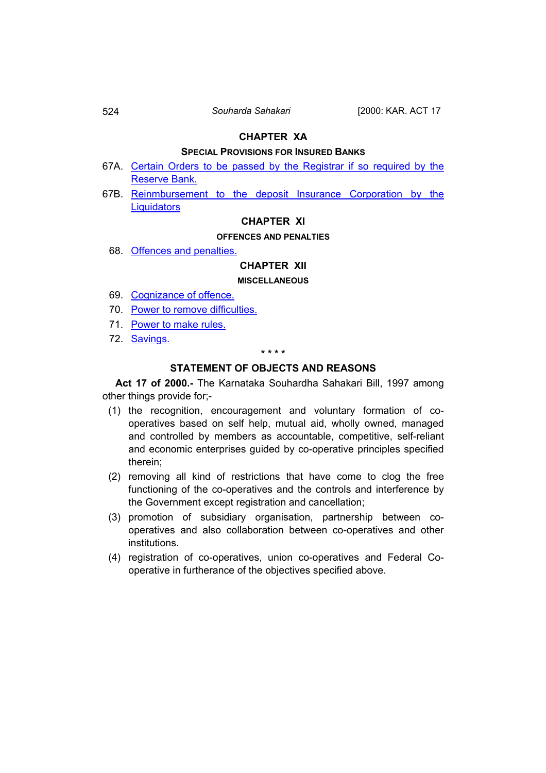# **SPECIAL PROVISIONS FOR INSURED BANKS**

- <span id="page-3-0"></span>67A. [Certain Orders to be passed by the Registrar if so required by the](#page-59-0)  [Reserve Bank.](#page-59-0)
- 67B. Reinmbursement to the deposit Insurance Corporation by the **[Liquidators](#page-60-0)**

# **CHAPTER XI**

# **OFFENCES AND PENALTIES**

68. [Offences and penalties.](#page-60-0)

# **CHAPTER XII**

## **MISCELLANEOUS**

- 69. [Cognizance of offence.](#page-61-0)
- 70. [Power to remove difficulties.](#page-61-0)
- 71. [Power to make rules.](#page-61-0)
- 72. [Savings.](#page-62-0)

#### **\* \* \* \***

# **STATEMENT OF OBJECTS AND REASONS**

 **Act 17 of 2000.-** The Karnataka Souhardha Sahakari Bill, 1997 among other things provide for;-

- (1) the recognition, encouragement and voluntary formation of cooperatives based on self help, mutual aid, wholly owned, managed and controlled by members as accountable, competitive, self-reliant and economic enterprises guided by co-operative principles specified therein;
- (2) removing all kind of restrictions that have come to clog the free functioning of the co-operatives and the controls and interference by the Government except registration and cancellation;
- (3) promotion of subsidiary organisation, partnership between cooperatives and also collaboration between co-operatives and other institutions.
- (4) registration of co-operatives, union co-operatives and Federal Cooperative in furtherance of the objectives specified above.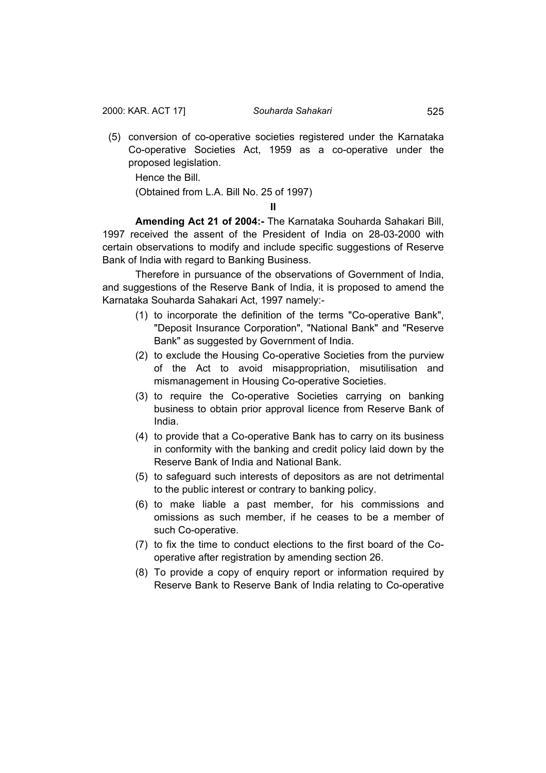(5) conversion of co-operative societies registered under the Karnataka Co-operative Societies Act, 1959 as a co-operative under the proposed legislation.

Hence the Bill.

(Obtained from L.A. Bill No. 25 of 1997)

**II** 

 **Amending Act 21 of 2004:-** The Karnataka Souharda Sahakari Bill, 1997 received the assent of the President of India on 28-03-2000 with certain observations to modify and include specific suggestions of Reserve Bank of India with regard to Banking Business.

Therefore in pursuance of the observations of Government of India, and suggestions of the Reserve Bank of India, it is proposed to amend the Karnataka Souharda Sahakari Act, 1997 namely:-

- (1) to incorporate the definition of the terms "Co-operative Bank", "Deposit Insurance Corporation", "National Bank" and "Reserve Bank" as suggested by Government of India.
- (2) to exclude the Housing Co-operative Societies from the purview of the Act to avoid misappropriation, misutilisation and mismanagement in Housing Co-operative Societies.
- (3) to require the Co-operative Societies carrying on banking business to obtain prior approval licence from Reserve Bank of India.
- (4) to provide that a Co-operative Bank has to carry on its business in conformity with the banking and credit policy laid down by the Reserve Bank of India and National Bank.
- (5) to safeguard such interests of depositors as are not detrimental to the public interest or contrary to banking policy.
- (6) to make liable a past member, for his commissions and omissions as such member, if he ceases to be a member of such Co-operative.
- (7) to fix the time to conduct elections to the first board of the Cooperative after registration by amending section 26.
- (8) To provide a copy of enquiry report or information required by Reserve Bank to Reserve Bank of India relating to Co-operative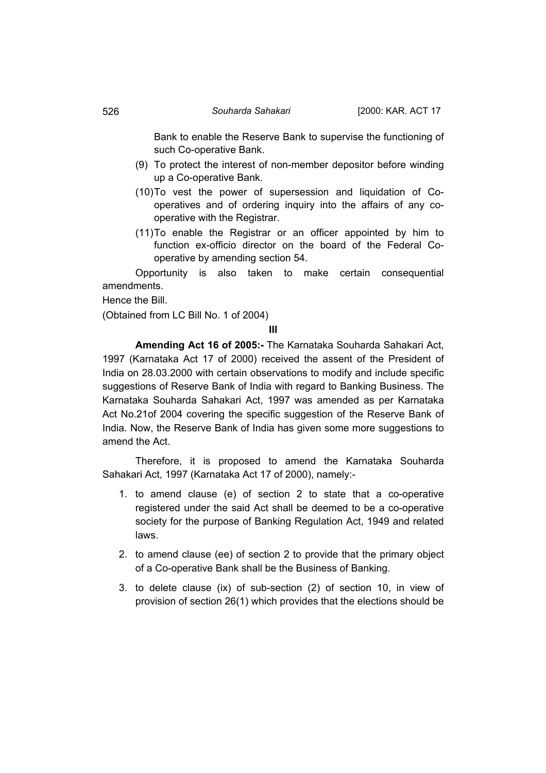Bank to enable the Reserve Bank to supervise the functioning of such Co-operative Bank.

- (9) To protect the interest of non-member depositor before winding up a Co-operative Bank.
- (10) To vest the power of supersession and liquidation of Cooperatives and of ordering inquiry into the affairs of any cooperative with the Registrar.
- (11) To enable the Registrar or an officer appointed by him to function ex-officio director on the board of the Federal Cooperative by amending section 54.

Opportunity is also taken to make certain consequential amendments.

Hence the Bill.

(Obtained from LC Bill No. 1 of 2004)

**III** 

**Amending Act 16 of 2005:-** The Karnataka Souharda Sahakari Act, 1997 (Karnataka Act 17 of 2000) received the assent of the President of India on 28.03.2000 with certain observations to modify and include specific suggestions of Reserve Bank of India with regard to Banking Business. The Karnataka Souharda Sahakari Act, 1997 was amended as per Karnataka Act No.21of 2004 covering the specific suggestion of the Reserve Bank of India. Now, the Reserve Bank of India has given some more suggestions to amend the Act.

 Therefore, it is proposed to amend the Karnataka Souharda Sahakari Act, 1997 (Karnataka Act 17 of 2000), namely:-

- 1. to amend clause (e) of section 2 to state that a co-operative registered under the said Act shall be deemed to be a co-operative society for the purpose of Banking Regulation Act, 1949 and related laws.
- 2. to amend clause (ee) of section 2 to provide that the primary object of a Co-operative Bank shall be the Business of Banking.
- 3. to delete clause (ix) of sub-section (2) of section 10, in view of provision of section 26(1) which provides that the elections should be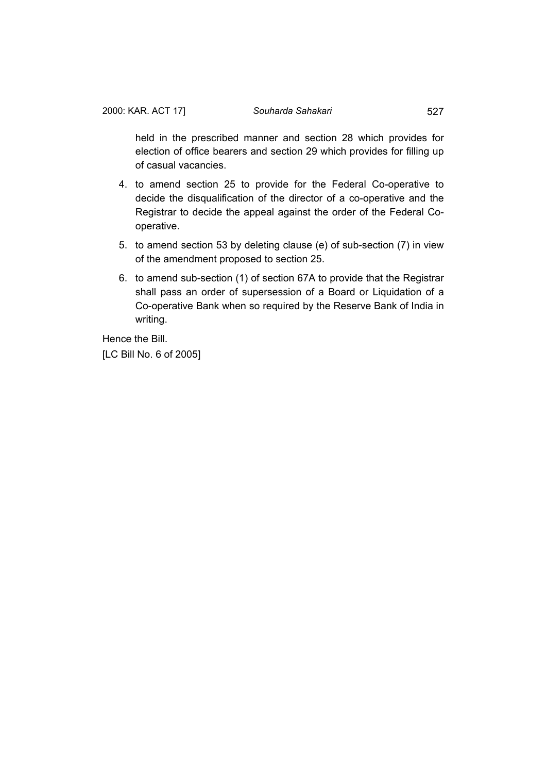held in the prescribed manner and section 28 which provides for election of office bearers and section 29 which provides for filling up of casual vacancies.

- 4. to amend section 25 to provide for the Federal Co-operative to decide the disqualification of the director of a co-operative and the Registrar to decide the appeal against the order of the Federal Cooperative.
- 5. to amend section 53 by deleting clause (e) of sub-section (7) in view of the amendment proposed to section 25.
- 6. to amend sub-section (1) of section 67A to provide that the Registrar shall pass an order of supersession of a Board or Liquidation of a Co-operative Bank when so required by the Reserve Bank of India in writing.

Hence the Bill.

[LC Bill No. 6 of 2005]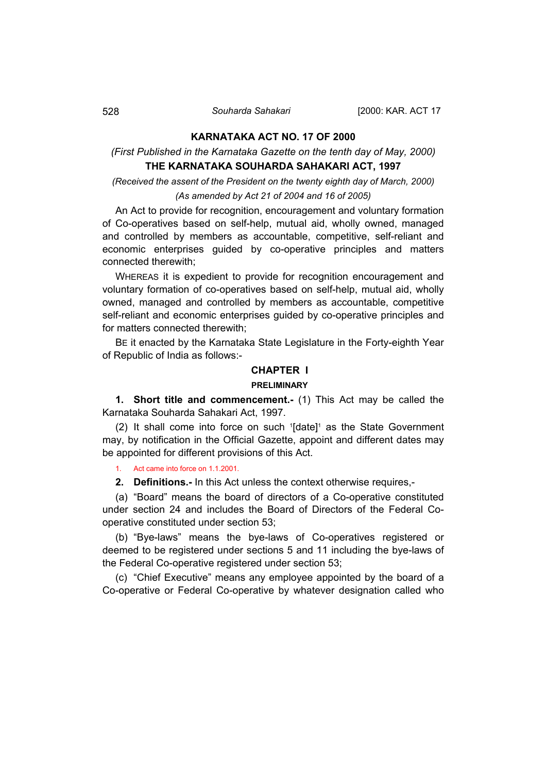# **KARNATAKA ACT NO. 17 OF 2000**

# <span id="page-7-0"></span>*(First Published in the Karnataka Gazette on the tenth day of May, 2000)*  **THE KARNATAKA SOUHARDA SAHAKARI ACT, 1997**

*(Received the assent of the President on the twenty eighth day of March, 2000)* 

# *(As amended by Act 21 of 2004 and 16 of 2005)*

An Act to provide for recognition, encouragement and voluntary formation of Co-operatives based on self-help, mutual aid, wholly owned, managed and controlled by members as accountable, competitive, self-reliant and economic enterprises guided by co-operative principles and matters connected therewith;

WHEREAS it is expedient to provide for recognition encouragement and voluntary formation of co-operatives based on self-help, mutual aid, wholly owned, managed and controlled by members as accountable, competitive self-reliant and economic enterprises guided by co-operative principles and for matters connected therewith;

BE it enacted by the Karnataka State Legislature in the Forty-eighth Year of Republic of India as follows:-

# **CHAPTER I**

#### **PRELIMINARY**

**1. Short title and commencement.-** (1) This Act may be called the Karnataka Souharda Sahakari Act, 1997.

(2) It shall come into force on such 1 [date]1 as the State Government may, by notification in the Official Gazette, appoint and different dates may be appointed for different provisions of this Act.

1. Act came into force on 1.1.2001.

**2. Definitions.-** In this Act unless the context otherwise requires,-

(a) "Board" means the board of directors of a Co-operative constituted under section 24 and includes the Board of Directors of the Federal Cooperative constituted under section 53;

(b) "Bye-laws" means the bye-laws of Co-operatives registered or deemed to be registered under sections 5 and 11 including the bye-laws of the Federal Co-operative registered under section 53;

(c) "Chief Executive" means any employee appointed by the board of a Co-operative or Federal Co-operative by whatever designation called who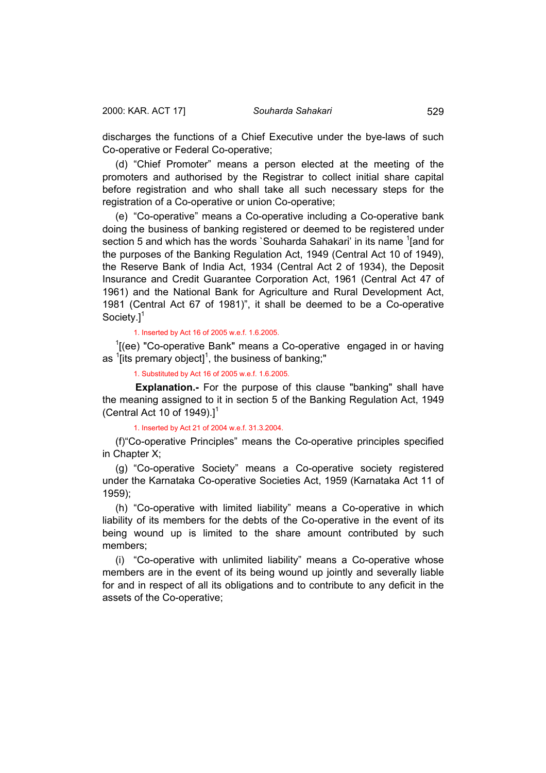discharges the functions of a Chief Executive under the bye-laws of such Co-operative or Federal Co-operative;

(d) "Chief Promoter" means a person elected at the meeting of the promoters and authorised by the Registrar to collect initial share capital before registration and who shall take all such necessary steps for the registration of a Co-operative or union Co-operative;

(e) "Co-operative" means a Co-operative including a Co-operative bank doing the business of banking registered or deemed to be registered under section 5 and which has the words `Souharda Sahakari' in its name <sup>1</sup>[and for the purposes of the Banking Regulation Act, 1949 (Central Act 10 of 1949), the Reserve Bank of India Act, 1934 (Central Act 2 of 1934), the Deposit Insurance and Credit Guarantee Corporation Act, 1961 (Central Act 47 of 1961) and the National Bank for Agriculture and Rural Development Act, 1981 (Central Act 67 of 1981)", it shall be deemed to be a Co-operative Society.<sup>11</sup>

1. Inserted by Act 16 of 2005 w.e.f. 1.6.2005.

 $1$ [(ee) "Co-operative Bank" means a Co-operative engaged in or having as  $\mathrm{1}$ [its premary object] $\mathrm{1}$ , the business of banking;"

1. Substituted by Act 16 of 2005 w.e.f. 1.6.2005.

**Explanation.-** For the purpose of this clause "banking" shall have the meaning assigned to it in section 5 of the Banking Regulation Act, 1949 (Central Act 10 of 1949).]<sup>1</sup>

#### 1. Inserted by Act 21 of 2004 w.e.f. 31.3.2004.

(f)"Co-operative Principles" means the Co-operative principles specified in Chapter X;

(g) "Co-operative Society" means a Co-operative society registered under the Karnataka Co-operative Societies Act, 1959 (Karnataka Act 11 of 1959);

(h) "Co-operative with limited liability" means a Co-operative in which liability of its members for the debts of the Co-operative in the event of its being wound up is limited to the share amount contributed by such members;

(i) "Co-operative with unlimited liability" means a Co-operative whose members are in the event of its being wound up jointly and severally liable for and in respect of all its obligations and to contribute to any deficit in the assets of the Co-operative;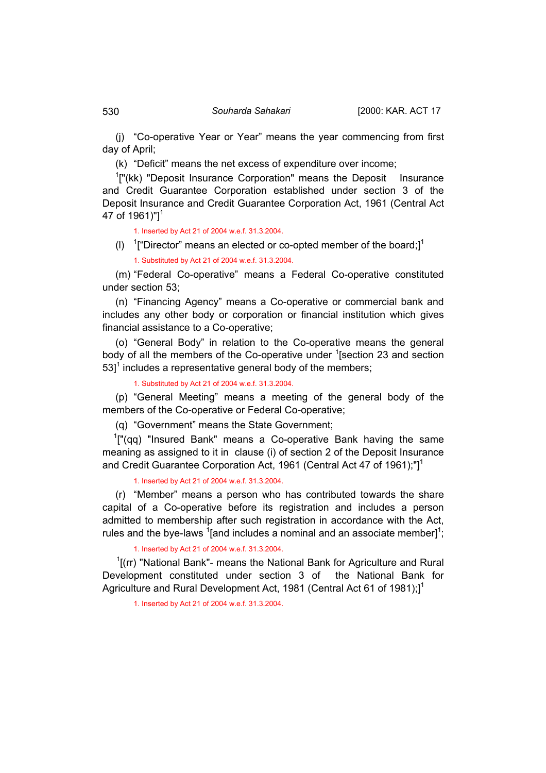(j) "Co-operative Year or Year" means the year commencing from first day of April;

(k) "Deficit" means the net excess of expenditure over income;

<sup>1</sup>["(kk) "Deposit Insurance Corporation" means the Deposit Insurance and Credit Guarantee Corporation established under section 3 of the Deposit Insurance and Credit Guarantee Corporation Act, 1961 (Central Act 47 of 1961)"] $^1$ 

1. Inserted by Act 21 of 2004 w.e.f. 31.3.2004.

(I)  $1$ <sup>"</sup>["Director" means an elected or co-opted member of the board;]<sup>1</sup> 1. Substituted by Act 21 of 2004 w.e.f. 31.3.2004.

(m) "Federal Co-operative" means a Federal Co-operative constituted under section 53;

(n) "Financing Agency" means a Co-operative or commercial bank and includes any other body or corporation or financial institution which gives financial assistance to a Co-operative;

(o) "General Body" in relation to the Co-operative means the general body of all the members of the Co-operative under <sup>1</sup>[section 23 and section  $53$ <sup>1</sup> includes a representative general body of the members;

1. Substituted by Act 21 of 2004 w.e.f. 31.3.2004.

(p) "General Meeting" means a meeting of the general body of the members of the Co-operative or Federal Co-operative;

(q) "Government" means the State Government;

 $1$ ["(qq) "Insured Bank" means a Co-operative Bank having the same meaning as assigned to it in clause (i) of section 2 of the Deposit Insurance and Credit Guarantee Corporation Act, 1961 (Central Act 47 of 1961);"]<sup>1</sup>

1. Inserted by Act 21 of 2004 w.e.f. 31.3.2004.

(r) "Member" means a person who has contributed towards the share capital of a Co-operative before its registration and includes a person admitted to membership after such registration in accordance with the Act, rules and the bye-laws  $\frac{1}{2}$  [and includes a nominal and an associate member] $\frac{1}{2}$ ;

1. Inserted by Act 21 of 2004 w.e.f. 31.3.2004.

 $1$ [(rr) "National Bank"- means the National Bank for Agriculture and Rural Development constituted under section 3 of the National Bank for Agriculture and Rural Development Act, 1981 (Central Act 61 of 1981);<sup>1</sup>

1. Inserted by Act 21 of 2004 w.e.f. 31.3.2004.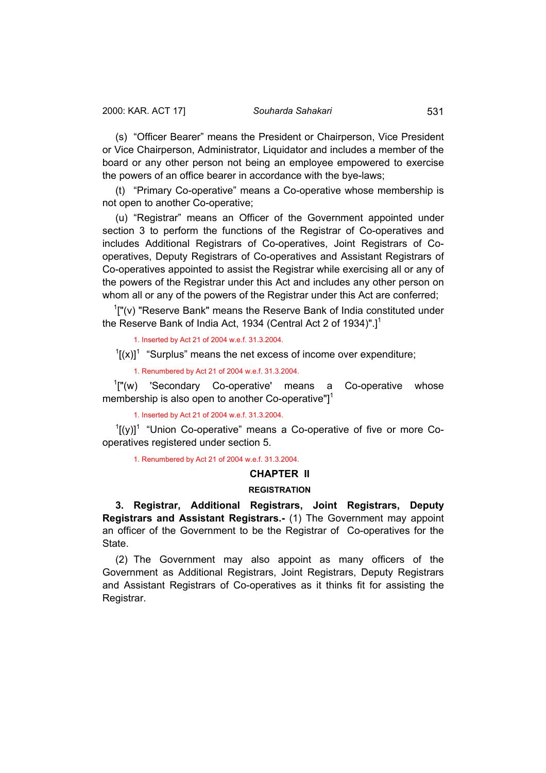<span id="page-10-0"></span>(s) "Officer Bearer" means the President or Chairperson, Vice President or Vice Chairperson, Administrator, Liquidator and includes a member of the board or any other person not being an employee empowered to exercise the powers of an office bearer in accordance with the bye-laws;

(t) "Primary Co-operative" means a Co-operative whose membership is not open to another Co-operative;

(u) "Registrar" means an Officer of the Government appointed under section 3 to perform the functions of the Registrar of Co-operatives and includes Additional Registrars of Co-operatives, Joint Registrars of Cooperatives, Deputy Registrars of Co-operatives and Assistant Registrars of Co-operatives appointed to assist the Registrar while exercising all or any of the powers of the Registrar under this Act and includes any other person on whom all or any of the powers of the Registrar under this Act are conferred;

 $1$ ["(v) "Reserve Bank" means the Reserve Bank of India constituted under the Reserve Bank of India Act, 1934 (Central Act 2 of 1934)".]<sup>1</sup>

1. Inserted by Act 21 of 2004 w.e.f. 31.3.2004.

 $\int$ [(x)]<sup>1</sup> "Surplus" means the net excess of income over expenditure;

1. Renumbered by Act 21 of 2004 w.e.f. 31.3.2004.

<sup>1</sup>["(w) 'Secondary Co-operative' means a Co-operative whose membership is also open to another Co-operative" $l^1$ 

1. Inserted by Act 21 of 2004 w.e.f. 31.3.2004.

 $\left[1[(y)]^1\right]$  "Union Co-operative" means a Co-operative of five or more Cooperatives registered under section 5.

1. Renumbered by Act 21 of 2004 w.e.f. 31.3.2004.

#### **CHAPTER II**

## **REGISTRATION**

**3. Registrar, Additional Registrars, Joint Registrars, Deputy Registrars and Assistant Registrars.-** (1) The Government may appoint an officer of the Government to be the Registrar of Co-operatives for the State.

(2) The Government may also appoint as many officers of the Government as Additional Registrars, Joint Registrars, Deputy Registrars and Assistant Registrars of Co-operatives as it thinks fit for assisting the Registrar.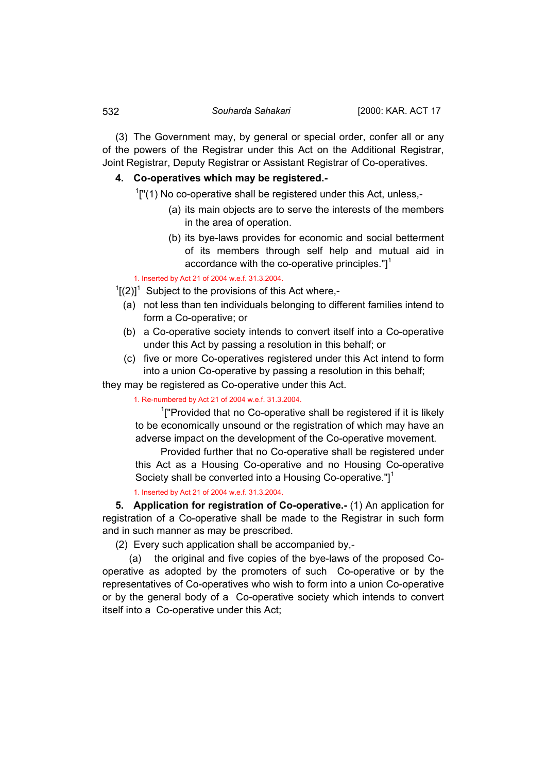<span id="page-11-0"></span>(3) The Government may, by general or special order, confer all or any of the powers of the Registrar under this Act on the Additional Registrar, Joint Registrar, Deputy Registrar or Assistant Registrar of Co-operatives.

# **4. Co-operatives which may be registered.-**

 $1$ ["(1) No co-operative shall be registered under this Act, unless,-

- (a) its main objects are to serve the interests of the members in the area of operation.
- (b) its bye-laws provides for economic and social betterment of its members through self help and mutual aid in accordance with the co-operative principles." $]$ <sup>1</sup>

1. Inserted by Act 21 of 2004 w.e.f. 31.3.2004.

- $1[(2)]^1$  Subject to the provisions of this Act where,-
	- (a) not less than ten individuals belonging to different families intend to form a Co-operative; or
	- (b) a Co-operative society intends to convert itself into a Co-operative under this Act by passing a resolution in this behalf; or
	- (c) five or more Co-operatives registered under this Act intend to form into a union Co-operative by passing a resolution in this behalf;

they may be registered as Co-operative under this Act.

1. Re-numbered by Act 21 of 2004 w.e.f. 31.3.2004.

 $1$ ["Provided that no Co-operative shall be registered if it is likely to be economically unsound or the registration of which may have an adverse impact on the development of the Co-operative movement.

 Provided further that no Co-operative shall be registered under this Act as a Housing Co-operative and no Housing Co-operative Society shall be converted into a Housing Co-operative."]<sup>1</sup>

1. Inserted by Act 21 of 2004 w.e.f. 31.3.2004.

**5. Application for registration of Co-operative.-** (1) An application for registration of a Co-operative shall be made to the Registrar in such form and in such manner as may be prescribed.

(2) Every such application shall be accompanied by,-

 (a) the original and five copies of the bye-laws of the proposed Cooperative as adopted by the promoters of such Co-operative or by the representatives of Co-operatives who wish to form into a union Co-operative or by the general body of a Co-operative society which intends to convert itself into a Co-operative under this Act;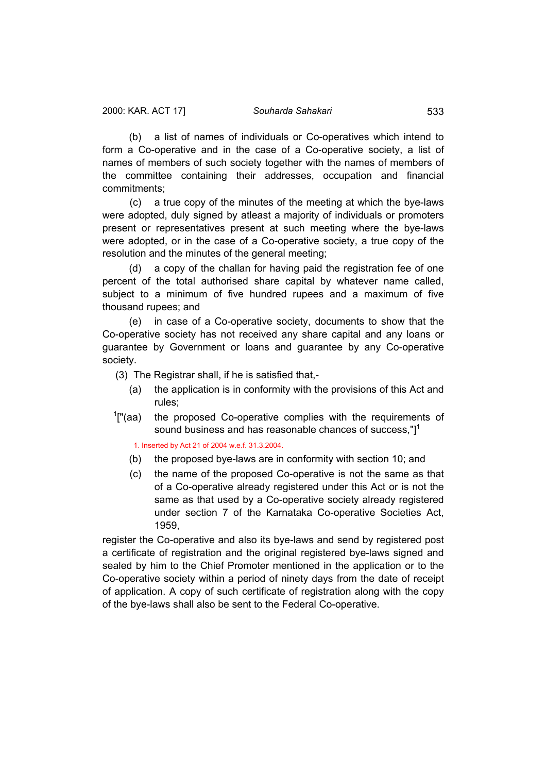(b) a list of names of individuals or Co-operatives which intend to form a Co-operative and in the case of a Co-operative society, a list of names of members of such society together with the names of members of the committee containing their addresses, occupation and financial commitments;

 (c) a true copy of the minutes of the meeting at which the bye-laws were adopted, duly signed by atleast a majority of individuals or promoters present or representatives present at such meeting where the bye-laws were adopted, or in the case of a Co-operative society, a true copy of the resolution and the minutes of the general meeting;

 (d) a copy of the challan for having paid the registration fee of one percent of the total authorised share capital by whatever name called, subject to a minimum of five hundred rupees and a maximum of five thousand rupees; and

 (e) in case of a Co-operative society, documents to show that the Co-operative society has not received any share capital and any loans or guarantee by Government or loans and guarantee by any Co-operative society.

(3) The Registrar shall, if he is satisfied that,-

- (a) the application is in conformity with the provisions of this Act and rules;
- $\frac{1}{2}$ "(aa) the proposed Co-operative complies with the requirements of sound business and has reasonable chances of success,"]<sup>1</sup>

1. Inserted by Act 21 of 2004 w.e.f. 31.3.2004.

- (b) the proposed bye-laws are in conformity with section 10; and
- (c) the name of the proposed Co-operative is not the same as that of a Co-operative already registered under this Act or is not the same as that used by a Co-operative society already registered under section 7 of the Karnataka Co-operative Societies Act, 1959,

register the Co-operative and also its bye-laws and send by registered post a certificate of registration and the original registered bye-laws signed and sealed by him to the Chief Promoter mentioned in the application or to the Co-operative society within a period of ninety days from the date of receipt of application. A copy of such certificate of registration along with the copy of the bye-laws shall also be sent to the Federal Co-operative.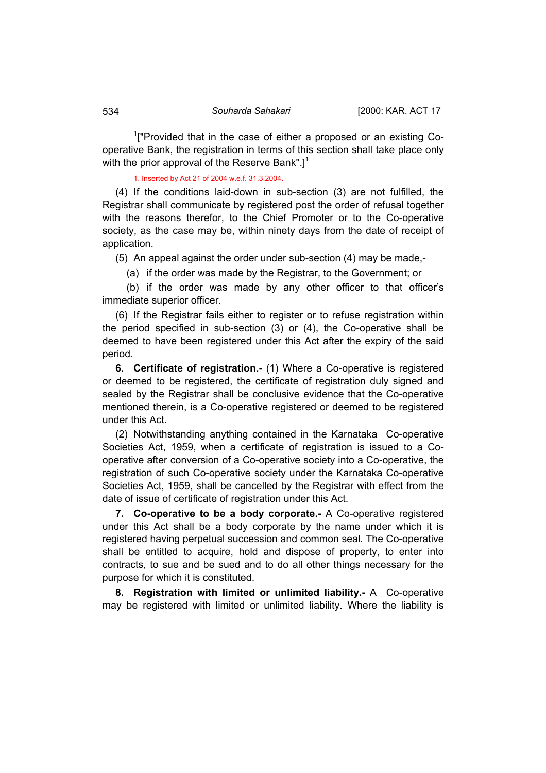<span id="page-13-0"></span><sup>1</sup>["Provided that in the case of either a proposed or an existing Cooperative Bank, the registration in terms of this section shall take place only with the prior approval of the Reserve Bank".]<sup>1</sup>

1. Inserted by Act 21 of 2004 w.e.f. 31.3.2004.

(4) If the conditions laid-down in sub-section (3) are not fulfilled, the Registrar shall communicate by registered post the order of refusal together with the reasons therefor, to the Chief Promoter or to the Co-operative society, as the case may be, within ninety days from the date of receipt of application.

(5) An appeal against the order under sub-section (4) may be made,-

(a) if the order was made by the Registrar, to the Government; or

 (b) if the order was made by any other officer to that officer's immediate superior officer.

(6) If the Registrar fails either to register or to refuse registration within the period specified in sub-section (3) or (4), the Co-operative shall be deemed to have been registered under this Act after the expiry of the said period.

**6. Certificate of registration.-** (1) Where a Co-operative is registered or deemed to be registered, the certificate of registration duly signed and sealed by the Registrar shall be conclusive evidence that the Co-operative mentioned therein, is a Co-operative registered or deemed to be registered under this Act.

(2) Notwithstanding anything contained in the Karnataka Co-operative Societies Act, 1959, when a certificate of registration is issued to a Cooperative after conversion of a Co-operative society into a Co-operative, the registration of such Co-operative society under the Karnataka Co-operative Societies Act, 1959, shall be cancelled by the Registrar with effect from the date of issue of certificate of registration under this Act.

**7. Co-operative to be a body corporate.-** A Co-operative registered under this Act shall be a body corporate by the name under which it is registered having perpetual succession and common seal. The Co-operative shall be entitled to acquire, hold and dispose of property, to enter into contracts, to sue and be sued and to do all other things necessary for the purpose for which it is constituted.

**8. Registration with limited or unlimited liability.-** A Co-operative may be registered with limited or unlimited liability. Where the liability is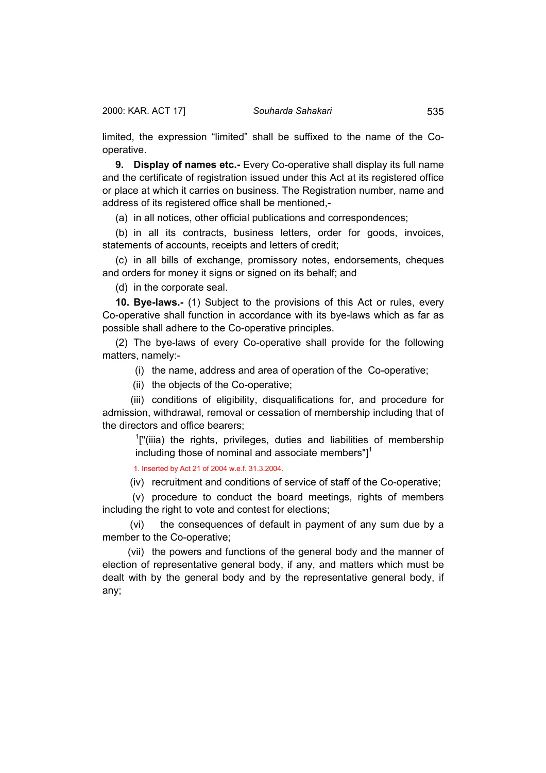<span id="page-14-0"></span>limited, the expression "limited" shall be suffixed to the name of the Cooperative.

**9. Display of names etc.-** Every Co-operative shall display its full name and the certificate of registration issued under this Act at its registered office or place at which it carries on business. The Registration number, name and address of its registered office shall be mentioned,-

(a) in all notices, other official publications and correspondences;

(b) in all its contracts, business letters, order for goods, invoices, statements of accounts, receipts and letters of credit;

(c) in all bills of exchange, promissory notes, endorsements, cheques and orders for money it signs or signed on its behalf; and

(d) in the corporate seal.

**10. Bye-laws.-** (1) Subject to the provisions of this Act or rules, every Co-operative shall function in accordance with its bye-laws which as far as possible shall adhere to the Co-operative principles.

(2) The bye-laws of every Co-operative shall provide for the following matters, namely:-

(i) the name, address and area of operation of the Co-operative;

(ii) the objects of the Co-operative;

 (iii) conditions of eligibility, disqualifications for, and procedure for admission, withdrawal, removal or cessation of membership including that of the directors and office bearers;

 $1$ ["(iiia) the rights, privileges, duties and liabilities of membership including those of nominal and associate members" $l^1$ 

1. Inserted by Act 21 of 2004 w.e.f. 31.3.2004.

(iv) recruitment and conditions of service of staff of the Co-operative;

 (v) procedure to conduct the board meetings, rights of members including the right to vote and contest for elections;

 (vi) the consequences of default in payment of any sum due by a member to the Co-operative;

 (vii) the powers and functions of the general body and the manner of election of representative general body, if any, and matters which must be dealt with by the general body and by the representative general body, if any;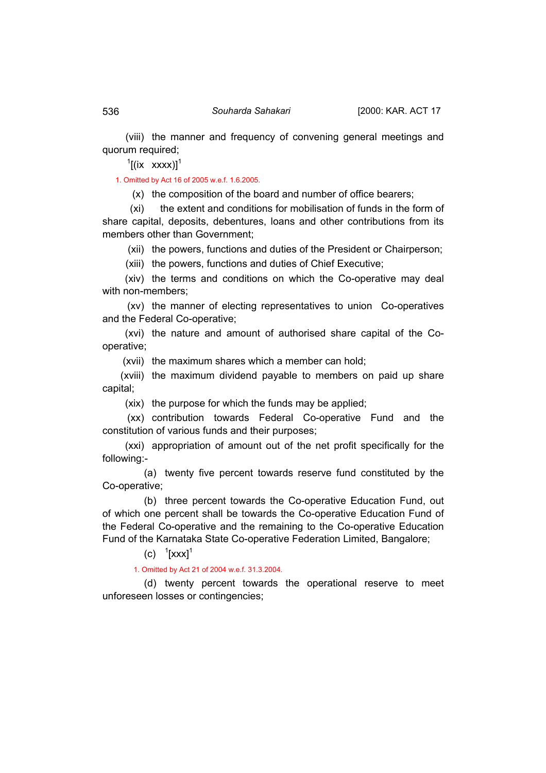(viii) the manner and frequency of convening general meetings and quorum required;

 $\int$ <sup>1</sup>[(ix xxxx)]<sup>1</sup>

1. Omitted by Act 16 of 2005 w.e.f. 1.6.2005.

(x) the composition of the board and number of office bearers;

 (xi) the extent and conditions for mobilisation of funds in the form of share capital, deposits, debentures, loans and other contributions from its members other than Government;

(xii) the powers, functions and duties of the President or Chairperson;

(xiii) the powers, functions and duties of Chief Executive;

 (xiv) the terms and conditions on which the Co-operative may deal with non-members;

 (xv) the manner of electing representatives to union Co-operatives and the Federal Co-operative;

 (xvi) the nature and amount of authorised share capital of the Cooperative;

(xvii) the maximum shares which a member can hold;

 (xviii) the maximum dividend payable to members on paid up share capital;

(xix) the purpose for which the funds may be applied;

 (xx) contribution towards Federal Co-operative Fund and the constitution of various funds and their purposes;

 (xxi) appropriation of amount out of the net profit specifically for the following:-

 (a) twenty five percent towards reserve fund constituted by the Co-operative;

 (b) three percent towards the Co-operative Education Fund, out of which one percent shall be towards the Co-operative Education Fund of the Federal Co-operative and the remaining to the Co-operative Education Fund of the Karnataka State Co-operative Federation Limited, Bangalore;

(c)  ${}^{1}[XXX]^{1}$ 

1. Omitted by Act 21 of 2004 w.e.f. 31.3.2004.

 (d) twenty percent towards the operational reserve to meet unforeseen losses or contingencies;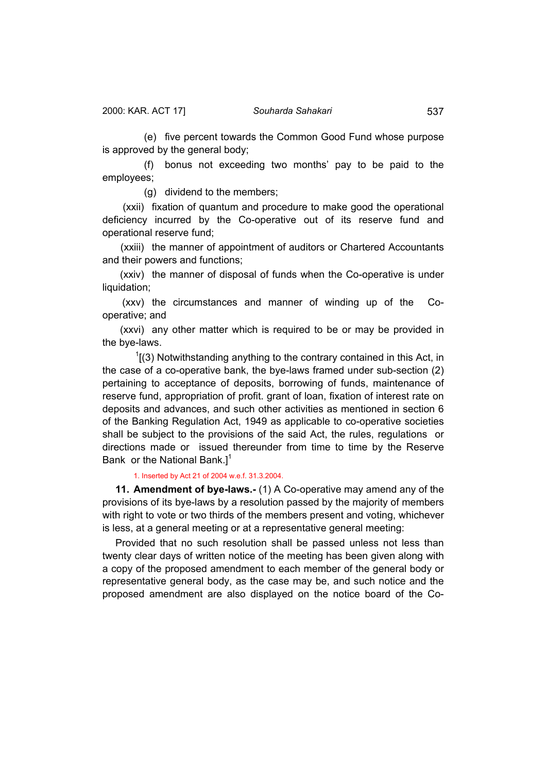<span id="page-16-0"></span> (e) five percent towards the Common Good Fund whose purpose is approved by the general body;

 (f) bonus not exceeding two months' pay to be paid to the employees;

(g) dividend to the members;

 (xxii) fixation of quantum and procedure to make good the operational deficiency incurred by the Co-operative out of its reserve fund and operational reserve fund;

 (xxiii) the manner of appointment of auditors or Chartered Accountants and their powers and functions;

 (xxiv) the manner of disposal of funds when the Co-operative is under liquidation;

 (xxv) the circumstances and manner of winding up of the Cooperative; and

 (xxvi) any other matter which is required to be or may be provided in the bye-laws.

 $1(3)$  Notwithstanding anything to the contrary contained in this Act, in the case of a co-operative bank, the bye-laws framed under sub-section (2) pertaining to acceptance of deposits, borrowing of funds, maintenance of reserve fund, appropriation of profit. grant of loan, fixation of interest rate on deposits and advances, and such other activities as mentioned in section 6 of the Banking Regulation Act, 1949 as applicable to co-operative societies shall be subject to the provisions of the said Act, the rules, regulations or directions made or issued thereunder from time to time by the Reserve Bank or the National Bank.] $1$ 

#### 1. Inserted by Act 21 of 2004 w.e.f. 31.3.2004.

**11. Amendment of bye-laws.-** (1) A Co-operative may amend any of the provisions of its bye-laws by a resolution passed by the majority of members with right to vote or two thirds of the members present and voting, whichever is less, at a general meeting or at a representative general meeting:

Provided that no such resolution shall be passed unless not less than twenty clear days of written notice of the meeting has been given along with a copy of the proposed amendment to each member of the general body or representative general body, as the case may be, and such notice and the proposed amendment are also displayed on the notice board of the Co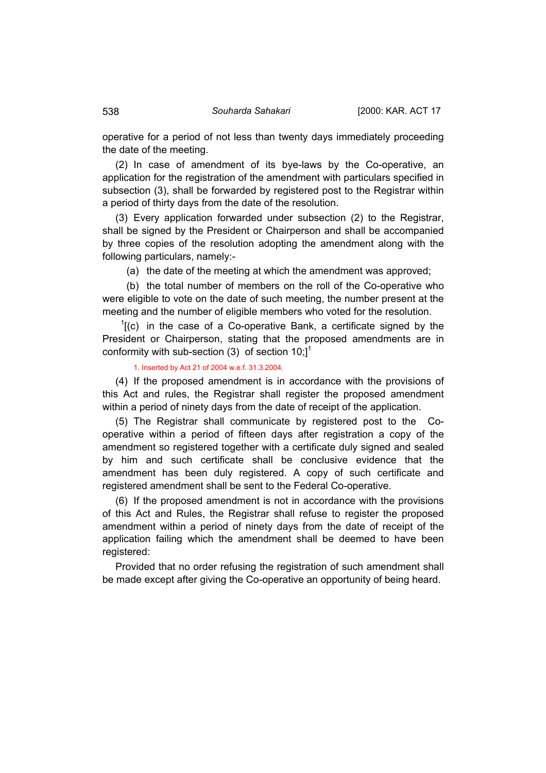operative for a period of not less than twenty days immediately proceeding the date of the meeting.

(2) In case of amendment of its bye-laws by the Co-operative, an application for the registration of the amendment with particulars specified in subsection (3), shall be forwarded by registered post to the Registrar within a period of thirty days from the date of the resolution.

(3) Every application forwarded under subsection (2) to the Registrar, shall be signed by the President or Chairperson and shall be accompanied by three copies of the resolution adopting the amendment along with the following particulars, namely:-

(a) the date of the meeting at which the amendment was approved;

 (b) the total number of members on the roll of the Co-operative who were eligible to vote on the date of such meeting, the number present at the meeting and the number of eligible members who voted for the resolution.

 $<sup>1</sup>$ [(c) in the case of a Co-operative Bank, a certificate signed by the</sup> President or Chairperson, stating that the proposed amendments are in conformity with sub-section (3) of section 10;]<sup>1</sup>

### 1. Inserted by Act 21 of 2004 w.e.f. 31.3.2004.

(4) If the proposed amendment is in accordance with the provisions of this Act and rules, the Registrar shall register the proposed amendment within a period of ninety days from the date of receipt of the application.

(5) The Registrar shall communicate by registered post to the Cooperative within a period of fifteen days after registration a copy of the amendment so registered together with a certificate duly signed and sealed by him and such certificate shall be conclusive evidence that the amendment has been duly registered. A copy of such certificate and registered amendment shall be sent to the Federal Co-operative.

(6) If the proposed amendment is not in accordance with the provisions of this Act and Rules, the Registrar shall refuse to register the proposed amendment within a period of ninety days from the date of receipt of the application failing which the amendment shall be deemed to have been registered:

Provided that no order refusing the registration of such amendment shall be made except after giving the Co-operative an opportunity of being heard.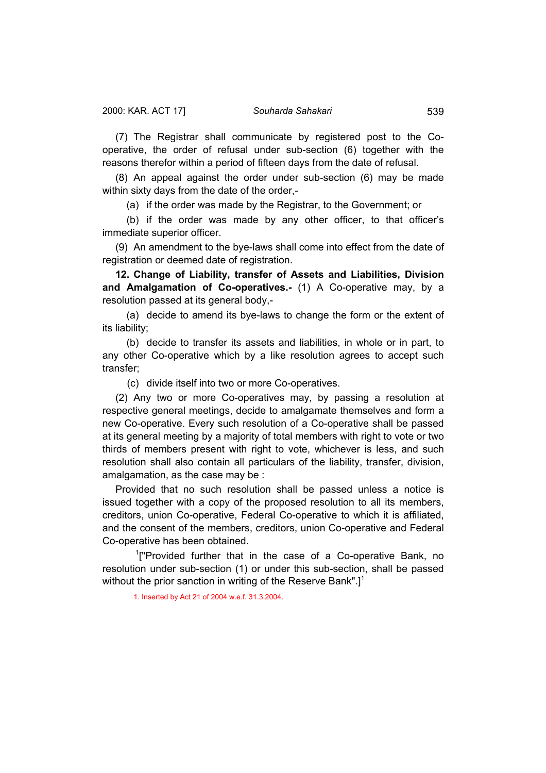<span id="page-18-0"></span>(7) The Registrar shall communicate by registered post to the Cooperative, the order of refusal under sub-section (6) together with the reasons therefor within a period of fifteen days from the date of refusal.

(8) An appeal against the order under sub-section (6) may be made within sixty days from the date of the order,-

(a) if the order was made by the Registrar, to the Government; or

 (b) if the order was made by any other officer, to that officer's immediate superior officer.

(9) An amendment to the bye-laws shall come into effect from the date of registration or deemed date of registration.

**12. Change of Liability, transfer of Assets and Liabilities, Division and Amalgamation of Co-operatives.-** (1) A Co-operative may, by a resolution passed at its general body,-

 (a) decide to amend its bye-laws to change the form or the extent of its liability;

 (b) decide to transfer its assets and liabilities, in whole or in part, to any other Co-operative which by a like resolution agrees to accept such transfer;

(c) divide itself into two or more Co-operatives.

(2) Any two or more Co-operatives may, by passing a resolution at respective general meetings, decide to amalgamate themselves and form a new Co-operative. Every such resolution of a Co-operative shall be passed at its general meeting by a majority of total members with right to vote or two thirds of members present with right to vote, whichever is less, and such resolution shall also contain all particulars of the liability, transfer, division, amalgamation, as the case may be :

Provided that no such resolution shall be passed unless a notice is issued together with a copy of the proposed resolution to all its members, creditors, union Co-operative, Federal Co-operative to which it is affiliated, and the consent of the members, creditors, union Co-operative and Federal Co-operative has been obtained.

<sup>1</sup>["Provided further that in the case of a Co-operative Bank, no resolution under sub-section (1) or under this sub-section, shall be passed without the prior sanction in writing of the Reserve Bank". $]$ <sup>1</sup>

1. Inserted by Act 21 of 2004 w.e.f. 31.3.2004.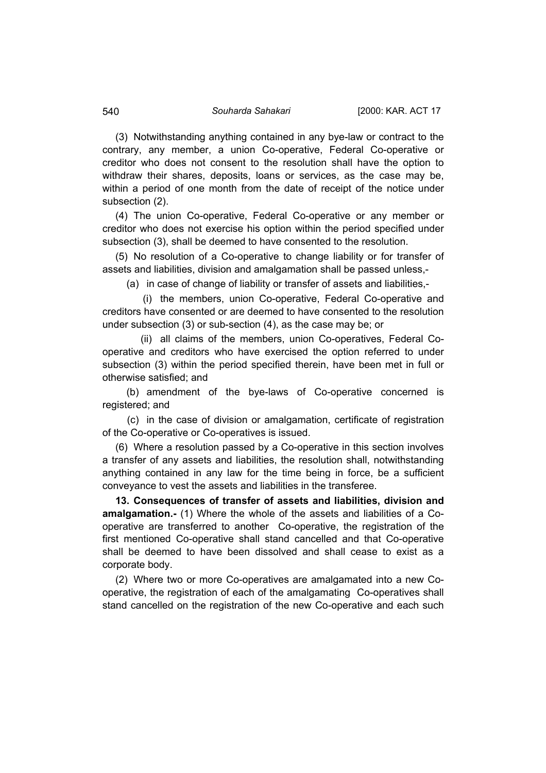(3) Notwithstanding anything contained in any bye-law or contract to the contrary, any member, a union Co-operative, Federal Co-operative or creditor who does not consent to the resolution shall have the option to withdraw their shares, deposits, loans or services, as the case may be, within a period of one month from the date of receipt of the notice under subsection (2).

(4) The union Co-operative, Federal Co-operative or any member or creditor who does not exercise his option within the period specified under subsection (3), shall be deemed to have consented to the resolution.

(5) No resolution of a Co-operative to change liability or for transfer of assets and liabilities, division and amalgamation shall be passed unless,-

(a) in case of change of liability or transfer of assets and liabilities,-

 (i) the members, union Co-operative, Federal Co-operative and creditors have consented or are deemed to have consented to the resolution under subsection (3) or sub-section (4), as the case may be; or

 (ii) all claims of the members, union Co-operatives, Federal Cooperative and creditors who have exercised the option referred to under subsection (3) within the period specified therein, have been met in full or otherwise satisfied; and

 (b) amendment of the bye-laws of Co-operative concerned is registered; and

 (c) in the case of division or amalgamation, certificate of registration of the Co-operative or Co-operatives is issued.

(6) Where a resolution passed by a Co-operative in this section involves a transfer of any assets and liabilities, the resolution shall, notwithstanding anything contained in any law for the time being in force, be a sufficient conveyance to vest the assets and liabilities in the transferee.

**13. Consequences of transfer of assets and liabilities, division and amalgamation.-** (1) Where the whole of the assets and liabilities of a Cooperative are transferred to another Co-operative, the registration of the first mentioned Co-operative shall stand cancelled and that Co-operative shall be deemed to have been dissolved and shall cease to exist as a corporate body.

(2) Where two or more Co-operatives are amalgamated into a new Cooperative, the registration of each of the amalgamating Co-operatives shall stand cancelled on the registration of the new Co-operative and each such

<span id="page-19-0"></span>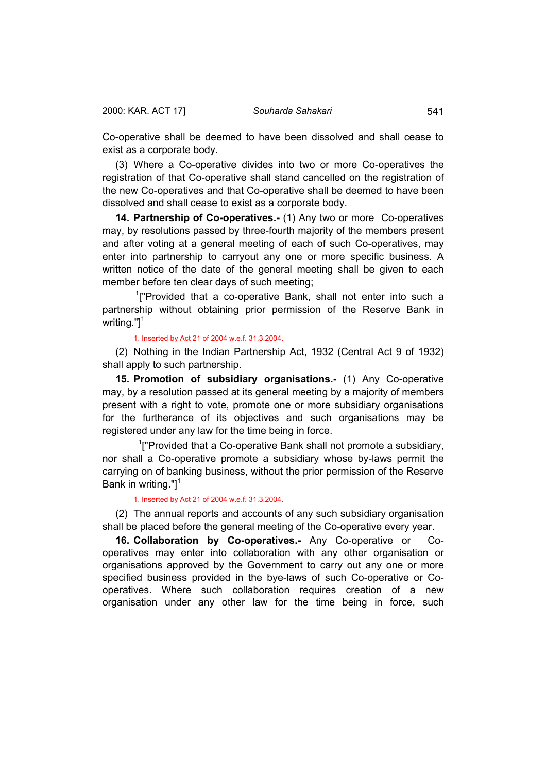<span id="page-20-0"></span>Co-operative shall be deemed to have been dissolved and shall cease to exist as a corporate body.

(3) Where a Co-operative divides into two or more Co-operatives the registration of that Co-operative shall stand cancelled on the registration of the new Co-operatives and that Co-operative shall be deemed to have been dissolved and shall cease to exist as a corporate body.

**14. Partnership of Co-operatives.-** (1) Any two or more Co-operatives may, by resolutions passed by three-fourth majority of the members present and after voting at a general meeting of each of such Co-operatives, may enter into partnership to carryout any one or more specific business. A written notice of the date of the general meeting shall be given to each member before ten clear days of such meeting;

<sup>1</sup>["Provided that a co-operative Bank, shall not enter into such a partnership without obtaining prior permission of the Reserve Bank in writing." $]$ <sup>1</sup>

## 1. Inserted by Act 21 of 2004 w.e.f. 31.3.2004.

(2) Nothing in the Indian Partnership Act, 1932 (Central Act 9 of 1932) shall apply to such partnership.

**15. Promotion of subsidiary organisations.-** (1) Any Co-operative may, by a resolution passed at its general meeting by a majority of members present with a right to vote, promote one or more subsidiary organisations for the furtherance of its objectives and such organisations may be registered under any law for the time being in force.

<sup>1</sup>["Provided that a Co-operative Bank shall not promote a subsidiary, nor shall a Co-operative promote a subsidiary whose by-laws permit the carrying on of banking business, without the prior permission of the Reserve Bank in writing."] $1$ 

#### 1. Inserted by Act 21 of 2004 w.e.f. 31.3.2004.

(2) The annual reports and accounts of any such subsidiary organisation shall be placed before the general meeting of the Co-operative every year.

**16. Collaboration by Co-operatives.-** Any Co-operative or Cooperatives may enter into collaboration with any other organisation or organisations approved by the Government to carry out any one or more specified business provided in the bye-laws of such Co-operative or Cooperatives. Where such collaboration requires creation of a new organisation under any other law for the time being in force, such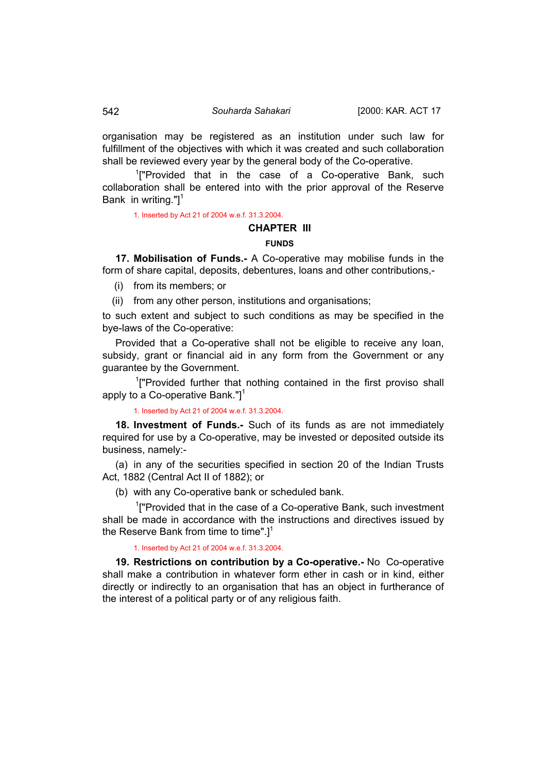organisation may be registered as an institution under such law for fulfillment of the objectives with which it was created and such collaboration shall be reviewed every year by the general body of the Co-operative.

<sup>1</sup>["Provided that in the case of a Co-operative Bank, such collaboration shall be entered into with the prior approval of the Reserve Bank in writing." $]$ <sup>1</sup>

1. Inserted by Act 21 of 2004 w.e.f. 31.3.2004.

### **CHAPTER III**

### **FUNDS**

**17. Mobilisation of Funds.-** A Co-operative may mobilise funds in the form of share capital, deposits, debentures, loans and other contributions,-

(i) from its members; or

(ii) from any other person, institutions and organisations;

to such extent and subject to such conditions as may be specified in the bye-laws of the Co-operative:

Provided that a Co-operative shall not be eligible to receive any loan, subsidy, grant or financial aid in any form from the Government or any guarantee by the Government.

<sup>1</sup>["Provided further that nothing contained in the first proviso shall apply to a Co-operative Bank." $l^1$ 

1. Inserted by Act 21 of 2004 w.e.f. 31.3.2004.

**18. Investment of Funds.-** Such of its funds as are not immediately required for use by a Co-operative, may be invested or deposited outside its business, namely:-

(a) in any of the securities specified in section 20 of the Indian Trusts Act, 1882 (Central Act II of 1882); or

(b) with any Co-operative bank or scheduled bank.

<sup>1</sup>["Provided that in the case of a Co-operative Bank, such investment shall be made in accordance with the instructions and directives issued by the Reserve Bank from time to time". $l^1$ 

1. Inserted by Act 21 of 2004 w.e.f. 31.3.2004.

**19. Restrictions on contribution by a Co-operative.-** No Co-operative shall make a contribution in whatever form ether in cash or in kind, either directly or indirectly to an organisation that has an object in furtherance of the interest of a political party or of any religious faith.

<span id="page-21-0"></span>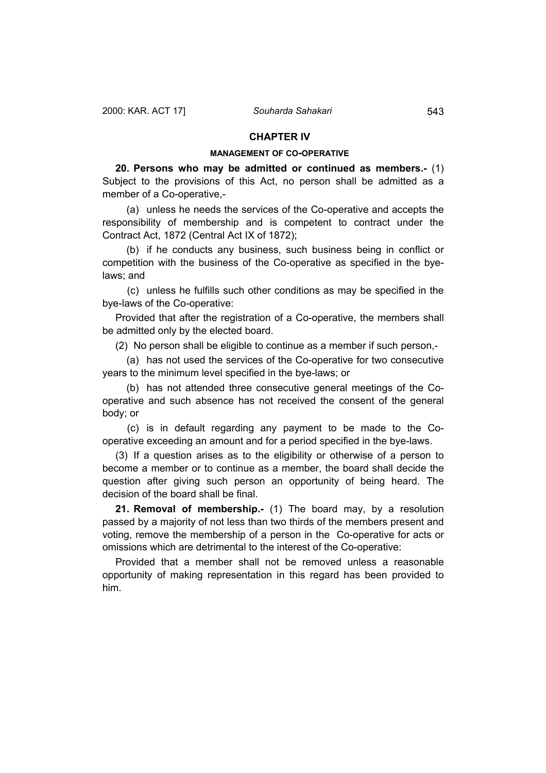## **CHAPTER IV**

#### **MANAGEMENT OF CO-OPERATIVE**

<span id="page-22-0"></span>**20. Persons who may be admitted or continued as members.-** (1) Subject to the provisions of this Act, no person shall be admitted as a member of a Co-operative,-

 (a) unless he needs the services of the Co-operative and accepts the responsibility of membership and is competent to contract under the Contract Act, 1872 (Central Act IX of 1872);

 (b) if he conducts any business, such business being in conflict or competition with the business of the Co-operative as specified in the byelaws; and

 (c) unless he fulfills such other conditions as may be specified in the bye-laws of the Co-operative:

Provided that after the registration of a Co-operative, the members shall be admitted only by the elected board.

(2) No person shall be eligible to continue as a member if such person,-

 (a) has not used the services of the Co-operative for two consecutive years to the minimum level specified in the bye-laws; or

 (b) has not attended three consecutive general meetings of the Cooperative and such absence has not received the consent of the general body; or

 (c) is in default regarding any payment to be made to the Cooperative exceeding an amount and for a period specified in the bye-laws.

(3) If a question arises as to the eligibility or otherwise of a person to become a member or to continue as a member, the board shall decide the question after giving such person an opportunity of being heard. The decision of the board shall be final.

**21. Removal of membership.-** (1) The board may, by a resolution passed by a majority of not less than two thirds of the members present and voting, remove the membership of a person in the Co-operative for acts or omissions which are detrimental to the interest of the Co-operative:

Provided that a member shall not be removed unless a reasonable opportunity of making representation in this regard has been provided to him.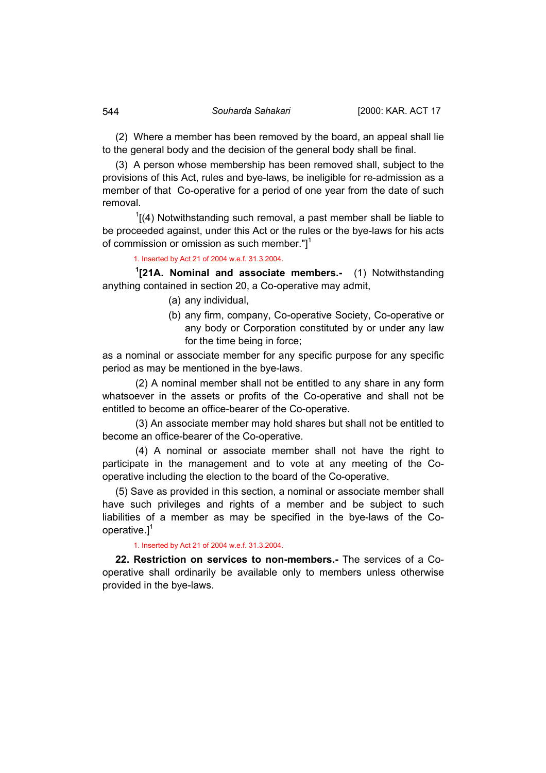(2) Where a member has been removed by the board, an appeal shall lie to the general body and the decision of the general body shall be final.

(3) A person whose membership has been removed shall, subject to the provisions of this Act, rules and bye-laws, be ineligible for re-admission as a member of that Co-operative for a period of one year from the date of such removal.

 $1$ [(4) Notwithstanding such removal, a past member shall be liable to be proceeded against, under this Act or the rules or the bye-laws for his acts of commission or omission as such member."]<sup>1</sup>

1. Inserted by Act 21 of 2004 w.e.f. 31.3.2004.

**1 [21A. Nominal and associate members.-** (1) Notwithstanding anything contained in section 20, a Co-operative may admit,

- (a) any individual,
- (b) any firm, company, Co-operative Society, Co-operative or any body or Corporation constituted by or under any law for the time being in force;

as a nominal or associate member for any specific purpose for any specific period as may be mentioned in the bye-laws.

(2) A nominal member shall not be entitled to any share in any form whatsoever in the assets or profits of the Co-operative and shall not be entitled to become an office-bearer of the Co-operative.

(3) An associate member may hold shares but shall not be entitled to become an office-bearer of the Co-operative.

(4) A nominal or associate member shall not have the right to participate in the management and to vote at any meeting of the Cooperative including the election to the board of the Co-operative.

(5) Save as provided in this section, a nominal or associate member shall have such privileges and rights of a member and be subject to such liabilities of a member as may be specified in the bye-laws of the Cooperative. $]^{1}$ 

#### 1. Inserted by Act 21 of 2004 w.e.f. 31.3.2004.

**22. Restriction on services to non-members.-** The services of a Cooperative shall ordinarily be available only to members unless otherwise provided in the bye-laws.

<span id="page-23-0"></span>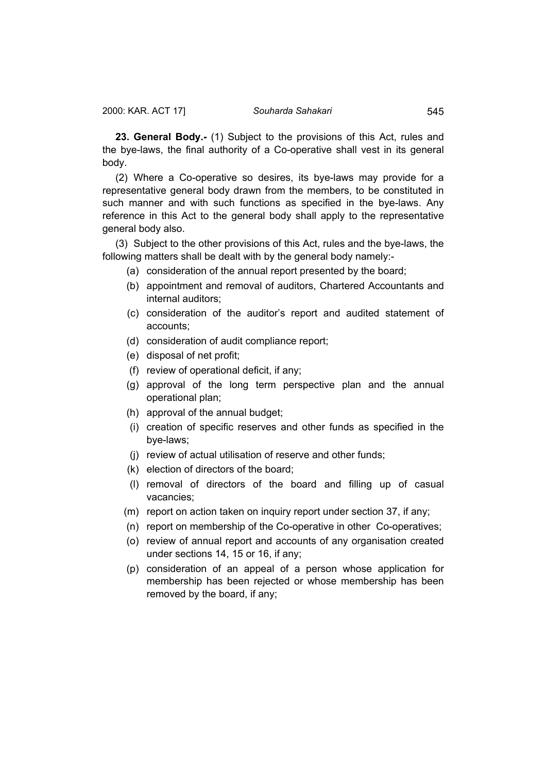<span id="page-24-0"></span>**23. General Body.-** (1) Subject to the provisions of this Act, rules and the bye-laws, the final authority of a Co-operative shall vest in its general body.

(2) Where a Co-operative so desires, its bye-laws may provide for a representative general body drawn from the members, to be constituted in such manner and with such functions as specified in the bye-laws. Any reference in this Act to the general body shall apply to the representative general body also.

(3) Subject to the other provisions of this Act, rules and the bye-laws, the following matters shall be dealt with by the general body namely:-

- (a) consideration of the annual report presented by the board;
- (b) appointment and removal of auditors, Chartered Accountants and internal auditors;
- (c) consideration of the auditor's report and audited statement of accounts;
- (d) consideration of audit compliance report;
- (e) disposal of net profit;
- (f) review of operational deficit, if any;
- (g) approval of the long term perspective plan and the annual operational plan;
- (h) approval of the annual budget;
- (i) creation of specific reserves and other funds as specified in the bye-laws;
- (j) review of actual utilisation of reserve and other funds;
- (k) election of directors of the board;
- (l) removal of directors of the board and filling up of casual vacancies;
- (m) report on action taken on inquiry report under section 37, if any;
- (n) report on membership of the Co-operative in other Co-operatives;
- (o) review of annual report and accounts of any organisation created under sections 14, 15 or 16, if any;
- (p) consideration of an appeal of a person whose application for membership has been rejected or whose membership has been removed by the board, if any;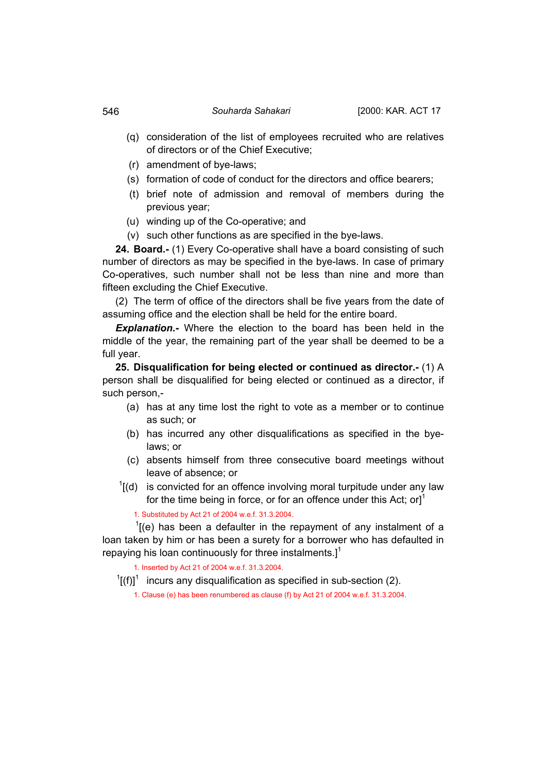- (q) consideration of the list of employees recruited who are relatives of directors or of the Chief Executive;
- (r) amendment of bye-laws;
- (s) formation of code of conduct for the directors and office bearers;
- (t) brief note of admission and removal of members during the previous year;
- (u) winding up of the Co-operative; and
- (v) such other functions as are specified in the bye-laws.

**24. Board.-** (1) Every Co-operative shall have a board consisting of such number of directors as may be specified in the bye-laws. In case of primary Co-operatives, such number shall not be less than nine and more than fifteen excluding the Chief Executive.

(2) The term of office of the directors shall be five years from the date of assuming office and the election shall be held for the entire board.

*Explanation.-* Where the election to the board has been held in the middle of the year, the remaining part of the year shall be deemed to be a full year.

**25. Disqualification for being elected or continued as director.-** (1) A person shall be disqualified for being elected or continued as a director, if such person,-

- (a) has at any time lost the right to vote as a member or to continue as such; or
- (b) has incurred any other disqualifications as specified in the byelaws; or
- (c) absents himself from three consecutive board meetings without leave of absence; or
- $1$ [(d) is convicted for an offence involving moral turpitude under any law for the time being in force, or for an offence under this Act; or  $I^1$

1. Substituted by Act 21 of 2004 w.e.f. 31.3.2004.

 $I$ [(e) has been a defaulter in the repayment of any instalment of a loan taken by him or has been a surety for a borrower who has defaulted in repaying his loan continuously for three instalments.]<sup>1</sup>

1. Inserted by Act 21 of 2004 w.e.f. 31.3.2004.

 $\frac{1}{1}$ [(f)]<sup>1</sup> incurs any disqualification as specified in sub-section (2).

1. Clause (e) has been renumbered as clause (f) by Act 21 of 2004 w.e.f. 31.3.2004.

<span id="page-25-0"></span>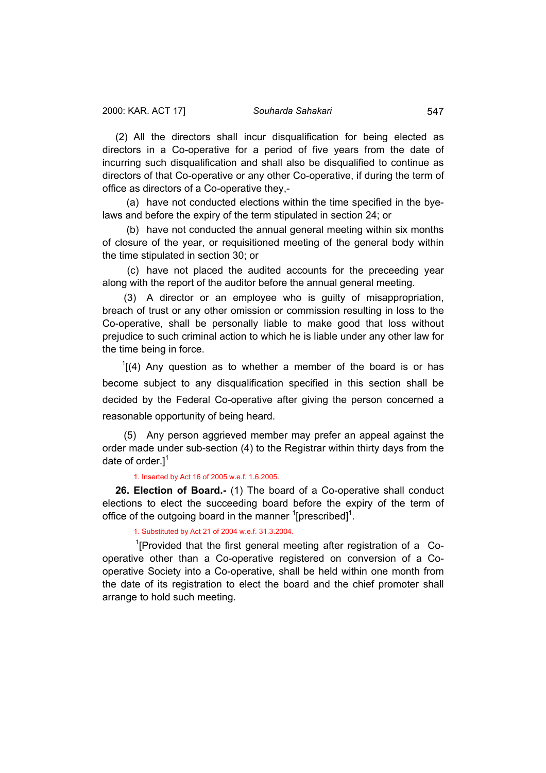<span id="page-26-0"></span>(2) All the directors shall incur disqualification for being elected as directors in a Co-operative for a period of five years from the date of incurring such disqualification and shall also be disqualified to continue as directors of that Co-operative or any other Co-operative, if during the term of office as directors of a Co-operative they,-

 (a) have not conducted elections within the time specified in the byelaws and before the expiry of the term stipulated in section 24; or

 (b) have not conducted the annual general meeting within six months of closure of the year, or requisitioned meeting of the general body within the time stipulated in section 30; or

 (c) have not placed the audited accounts for the preceeding year along with the report of the auditor before the annual general meeting.

 (3) A director or an employee who is guilty of misappropriation, breach of trust or any other omission or commission resulting in loss to the Co-operative, shall be personally liable to make good that loss without prejudice to such criminal action to which he is liable under any other law for the time being in force.

 $1$ [(4) Any question as to whether a member of the board is or has become subject to any disqualification specified in this section shall be decided by the Federal Co-operative after giving the person concerned a reasonable opportunity of being heard.

 (5) Any person aggrieved member may prefer an appeal against the order made under sub-section (4) to the Registrar within thirty days from the date of order. $1<sup>1</sup>$ 

1. Inserted by Act 16 of 2005 w.e.f. 1.6.2005.

**26. Election of Board.-** (1) The board of a Co-operative shall conduct elections to elect the succeeding board before the expiry of the term of office of the outgoing board in the manner  $\mathrm{1}$ [prescribed] $\mathrm{1}$ .

1. Substituted by Act 21 of 2004 w.e.f. 31.3.2004.

<sup>1</sup>[Provided that the first general meeting after registration of a Cooperative other than a Co-operative registered on conversion of a Cooperative Society into a Co-operative, shall be held within one month from the date of its registration to elect the board and the chief promoter shall arrange to hold such meeting.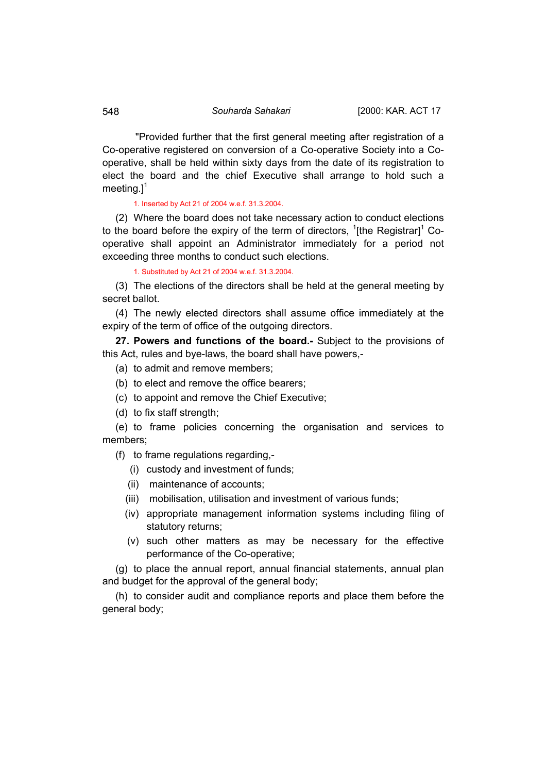"Provided further that the first general meeting after registration of a Co-operative registered on conversion of a Co-operative Society into a Cooperative, shall be held within sixty days from the date of its registration to elect the board and the chief Executive shall arrange to hold such a meeting. $l^1$ 

1. Inserted by Act 21 of 2004 w.e.f. 31.3.2004.

(2) Where the board does not take necessary action to conduct elections to the board before the expiry of the term of directors,  $1$ [the Registrar] $1$  Cooperative shall appoint an Administrator immediately for a period not exceeding three months to conduct such elections.

1. Substituted by Act 21 of 2004 w.e.f. 31.3.2004.

(3) The elections of the directors shall be held at the general meeting by secret ballot.

(4) The newly elected directors shall assume office immediately at the expiry of the term of office of the outgoing directors.

**27. Powers and functions of the board.-** Subject to the provisions of this Act, rules and bye-laws, the board shall have powers,-

(a) to admit and remove members;

(b) to elect and remove the office bearers;

(c) to appoint and remove the Chief Executive;

(d) to fix staff strength;

(e) to frame policies concerning the organisation and services to members;

(f) to frame regulations regarding,-

- (i) custody and investment of funds;
- (ii) maintenance of accounts;
- (iii) mobilisation, utilisation and investment of various funds;
- (iv) appropriate management information systems including filing of statutory returns;
- (v) such other matters as may be necessary for the effective performance of the Co-operative;

(g) to place the annual report, annual financial statements, annual plan and budget for the approval of the general body;

(h) to consider audit and compliance reports and place them before the general body;

<span id="page-27-0"></span>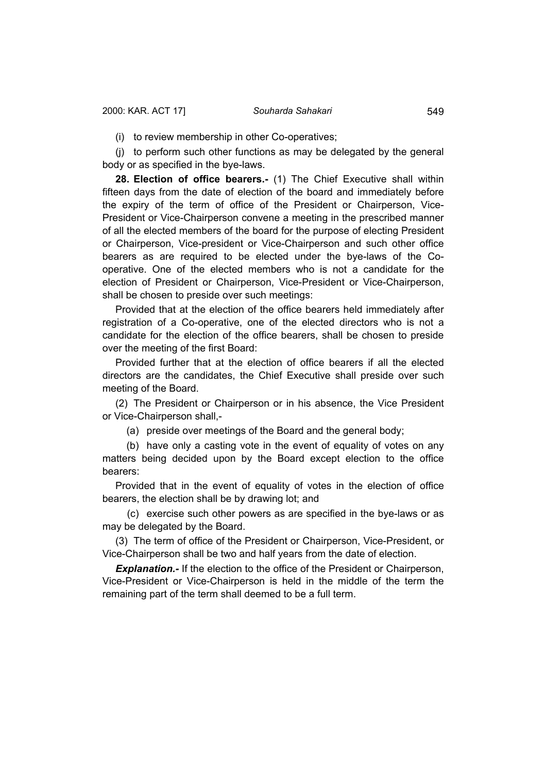<span id="page-28-0"></span>(i) to review membership in other Co-operatives;

(j) to perform such other functions as may be delegated by the general body or as specified in the bye-laws.

**28. Election of office bearers.-** (1) The Chief Executive shall within fifteen days from the date of election of the board and immediately before the expiry of the term of office of the President or Chairperson, Vice-President or Vice-Chairperson convene a meeting in the prescribed manner of all the elected members of the board for the purpose of electing President or Chairperson, Vice-president or Vice-Chairperson and such other office bearers as are required to be elected under the bye-laws of the Cooperative. One of the elected members who is not a candidate for the election of President or Chairperson, Vice-President or Vice-Chairperson, shall be chosen to preside over such meetings:

Provided that at the election of the office bearers held immediately after registration of a Co-operative, one of the elected directors who is not a candidate for the election of the office bearers, shall be chosen to preside over the meeting of the first Board:

Provided further that at the election of office bearers if all the elected directors are the candidates, the Chief Executive shall preside over such meeting of the Board.

(2) The President or Chairperson or in his absence, the Vice President or Vice-Chairperson shall,-

(a) preside over meetings of the Board and the general body;

 (b) have only a casting vote in the event of equality of votes on any matters being decided upon by the Board except election to the office bearers:

Provided that in the event of equality of votes in the election of office bearers, the election shall be by drawing lot; and

 (c) exercise such other powers as are specified in the bye-laws or as may be delegated by the Board.

(3) The term of office of the President or Chairperson, Vice-President, or Vice-Chairperson shall be two and half years from the date of election.

**Explanation.-** If the election to the office of the President or Chairperson, Vice-President or Vice-Chairperson is held in the middle of the term the remaining part of the term shall deemed to be a full term.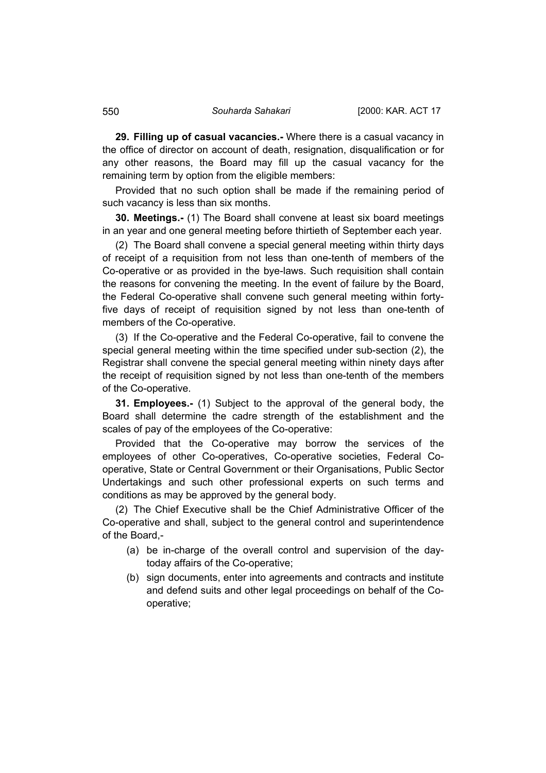**29. Filling up of casual vacancies.-** Where there is a casual vacancy in the office of director on account of death, resignation, disqualification or for any other reasons, the Board may fill up the casual vacancy for the remaining term by option from the eligible members:

Provided that no such option shall be made if the remaining period of such vacancy is less than six months.

**30. Meetings.-** (1) The Board shall convene at least six board meetings in an year and one general meeting before thirtieth of September each year.

(2) The Board shall convene a special general meeting within thirty days of receipt of a requisition from not less than one-tenth of members of the Co-operative or as provided in the bye-laws. Such requisition shall contain the reasons for convening the meeting. In the event of failure by the Board, the Federal Co-operative shall convene such general meeting within fortyfive days of receipt of requisition signed by not less than one-tenth of members of the Co-operative.

(3) If the Co-operative and the Federal Co-operative, fail to convene the special general meeting within the time specified under sub-section (2), the Registrar shall convene the special general meeting within ninety days after the receipt of requisition signed by not less than one-tenth of the members of the Co-operative.

**31. Employees.-** (1) Subject to the approval of the general body, the Board shall determine the cadre strength of the establishment and the scales of pay of the employees of the Co-operative:

Provided that the Co-operative may borrow the services of the employees of other Co-operatives, Co-operative societies, Federal Cooperative, State or Central Government or their Organisations, Public Sector Undertakings and such other professional experts on such terms and conditions as may be approved by the general body.

(2) The Chief Executive shall be the Chief Administrative Officer of the Co-operative and shall, subject to the general control and superintendence of the Board,-

- (a) be in-charge of the overall control and supervision of the daytoday affairs of the Co-operative;
- (b) sign documents, enter into agreements and contracts and institute and defend suits and other legal proceedings on behalf of the Cooperative;

<span id="page-29-0"></span>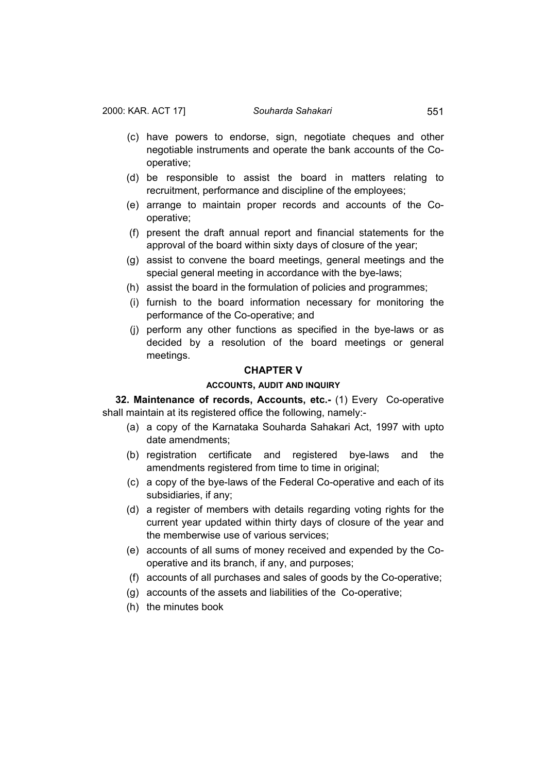- <span id="page-30-0"></span> (c) have powers to endorse, sign, negotiate cheques and other negotiable instruments and operate the bank accounts of the Cooperative;
- (d) be responsible to assist the board in matters relating to recruitment, performance and discipline of the employees;
- (e) arrange to maintain proper records and accounts of the Cooperative;
- (f) present the draft annual report and financial statements for the approval of the board within sixty days of closure of the year;
- (g) assist to convene the board meetings, general meetings and the special general meeting in accordance with the bye-laws;
- (h) assist the board in the formulation of policies and programmes;
- (i) furnish to the board information necessary for monitoring the performance of the Co-operative; and
- (j) perform any other functions as specified in the bye-laws or as decided by a resolution of the board meetings or general meetings.

#### **CHAPTER V**

#### **ACCOUNTS, AUDIT AND INQUIRY**

**32. Maintenance of records, Accounts, etc.-** (1) Every Co-operative shall maintain at its registered office the following, namely:-

- (a) a copy of the Karnataka Souharda Sahakari Act, 1997 with upto date amendments;
- (b) registration certificate and registered bye-laws and the amendments registered from time to time in original:
- (c) a copy of the bye-laws of the Federal Co-operative and each of its subsidiaries, if any;
- (d) a register of members with details regarding voting rights for the current year updated within thirty days of closure of the year and the memberwise use of various services;
- (e) accounts of all sums of money received and expended by the Cooperative and its branch, if any, and purposes;
- (f) accounts of all purchases and sales of goods by the Co-operative;
- (g) accounts of the assets and liabilities of the Co-operative;
- (h) the minutes book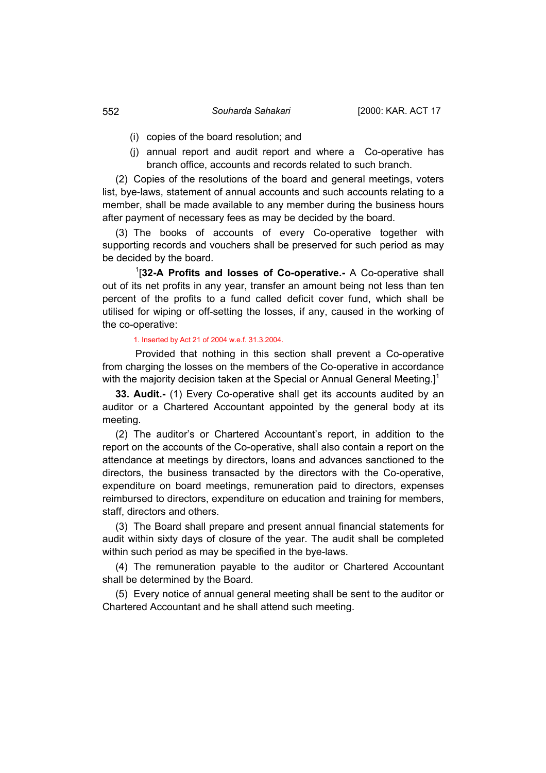- (i) copies of the board resolution; and
- (j) annual report and audit report and where a Co-operative has branch office, accounts and records related to such branch.

(2) Copies of the resolutions of the board and general meetings, voters list, bye-laws, statement of annual accounts and such accounts relating to a member, shall be made available to any member during the business hours after payment of necessary fees as may be decided by the board.

(3) The books of accounts of every Co-operative together with supporting records and vouchers shall be preserved for such period as may be decided by the board.

1 [**32-A Profits and losses of Co-operative.-** A Co-operative shall out of its net profits in any year, transfer an amount being not less than ten percent of the profits to a fund called deficit cover fund, which shall be utilised for wiping or off-setting the losses, if any, caused in the working of the co-operative:

## 1. Inserted by Act 21 of 2004 w.e.f. 31.3.2004.

Provided that nothing in this section shall prevent a Co-operative from charging the losses on the members of the Co-operative in accordance with the majority decision taken at the Special or Annual General Meeting.]<sup>1</sup>

**33. Audit.-** (1) Every Co-operative shall get its accounts audited by an auditor or a Chartered Accountant appointed by the general body at its meeting.

(2) The auditor's or Chartered Accountant's report, in addition to the report on the accounts of the Co-operative, shall also contain a report on the attendance at meetings by directors, loans and advances sanctioned to the directors, the business transacted by the directors with the Co-operative, expenditure on board meetings, remuneration paid to directors, expenses reimbursed to directors, expenditure on education and training for members, staff, directors and others.

(3) The Board shall prepare and present annual financial statements for audit within sixty days of closure of the year. The audit shall be completed within such period as may be specified in the bye-laws.

(4) The remuneration payable to the auditor or Chartered Accountant shall be determined by the Board.

(5) Every notice of annual general meeting shall be sent to the auditor or Chartered Accountant and he shall attend such meeting.

<span id="page-31-0"></span>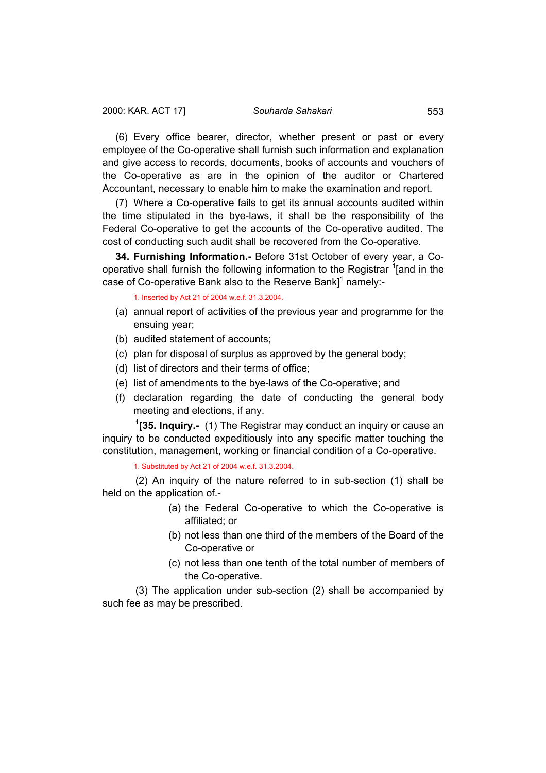<span id="page-32-0"></span>(6) Every office bearer, director, whether present or past or every employee of the Co-operative shall furnish such information and explanation and give access to records, documents, books of accounts and vouchers of the Co-operative as are in the opinion of the auditor or Chartered Accountant, necessary to enable him to make the examination and report.

(7) Where a Co-operative fails to get its annual accounts audited within the time stipulated in the bye-laws, it shall be the responsibility of the Federal Co-operative to get the accounts of the Co-operative audited. The cost of conducting such audit shall be recovered from the Co-operative.

**34. Furnishing Information.-** Before 31st October of every year, a Cooperative shall furnish the following information to the Registrar <sup>1</sup>[and in the case of Co-operative Bank also to the Reserve Bank]<sup>1</sup> namely:-

1. Inserted by Act 21 of 2004 w.e.f. 31.3.2004.

- (a) annual report of activities of the previous year and programme for the ensuing year;
- (b) audited statement of accounts;
- (c) plan for disposal of surplus as approved by the general body;
- (d) list of directors and their terms of office;
- (e) list of amendments to the bye-laws of the Co-operative; and
- (f) declaration regarding the date of conducting the general body meeting and elections, if any.

**1 [35. Inquiry.-** (1) The Registrar may conduct an inquiry or cause an inquiry to be conducted expeditiously into any specific matter touching the constitution, management, working or financial condition of a Co-operative.

1. Substituted by Act 21 of 2004 w.e.f. 31.3.2004.

(2) An inquiry of the nature referred to in sub-section (1) shall be held on the application of.-

- (a) the Federal Co-operative to which the Co-operative is affiliated; or
- (b) not less than one third of the members of the Board of the Co-operative or
- (c) not less than one tenth of the total number of members of the Co-operative.

(3) The application under sub-section (2) shall be accompanied by such fee as may be prescribed.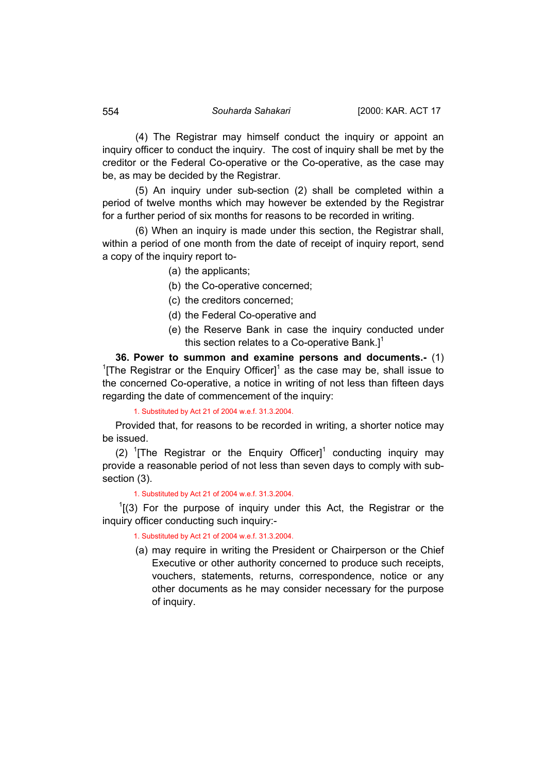(4) The Registrar may himself conduct the inquiry or appoint an inquiry officer to conduct the inquiry. The cost of inquiry shall be met by the creditor or the Federal Co-operative or the Co-operative, as the case may be, as may be decided by the Registrar.

(5) An inquiry under sub-section (2) shall be completed within a period of twelve months which may however be extended by the Registrar for a further period of six months for reasons to be recorded in writing.

(6) When an inquiry is made under this section, the Registrar shall, within a period of one month from the date of receipt of inquiry report, send a copy of the inquiry report to-

- (a) the applicants;
- (b) the Co-operative concerned;
- (c) the creditors concerned;
- (d) the Federal Co-operative and
- (e) the Reserve Bank in case the inquiry conducted under this section relates to a Co-operative Bank. $l^1$

**36. Power to summon and examine persons and documents.-** (1) <sup>1</sup>[The Registrar or the Enquiry Officer]<sup>1</sup> as the case may be, shall issue to the concerned Co-operative, a notice in writing of not less than fifteen days regarding the date of commencement of the inquiry:

1. Substituted by Act 21 of 2004 w.e.f. 31.3.2004.

Provided that, for reasons to be recorded in writing, a shorter notice may be issued.

(2) <sup>1</sup>[The Registrar or the Enquiry Officer]<sup>1</sup> conducting inquiry may provide a reasonable period of not less than seven days to comply with subsection (3).

1. Substituted by Act 21 of 2004 w.e.f. 31.3.2004.

 $1(3)$  For the purpose of inquiry under this Act, the Registrar or the inquiry officer conducting such inquiry:-

1. Substituted by Act 21 of 2004 w.e.f. 31.3.2004.

(a) may require in writing the President or Chairperson or the Chief Executive or other authority concerned to produce such receipts, vouchers, statements, returns, correspondence, notice or any other documents as he may consider necessary for the purpose of inquiry.

<span id="page-33-0"></span>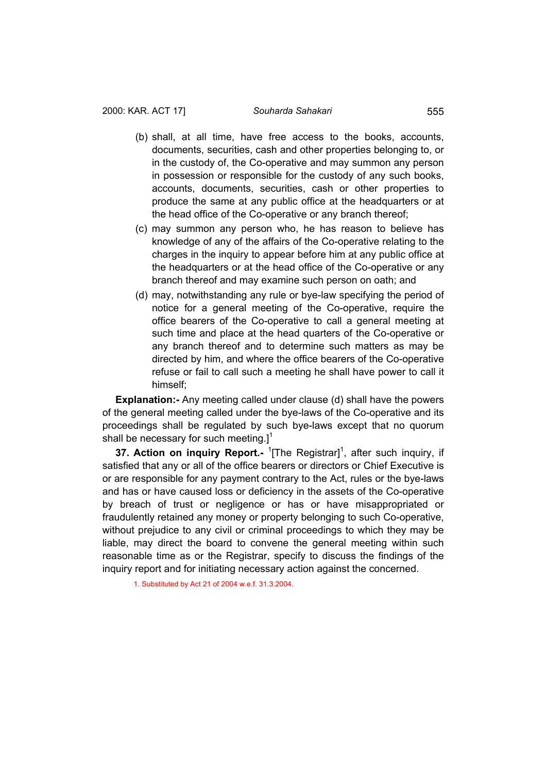- <span id="page-34-0"></span>(b) shall, at all time, have free access to the books, accounts, documents, securities, cash and other properties belonging to, or in the custody of, the Co-operative and may summon any person in possession or responsible for the custody of any such books, accounts, documents, securities, cash or other properties to produce the same at any public office at the headquarters or at the head office of the Co-operative or any branch thereof;
- (c) may summon any person who, he has reason to believe has knowledge of any of the affairs of the Co-operative relating to the charges in the inquiry to appear before him at any public office at the headquarters or at the head office of the Co-operative or any branch thereof and may examine such person on oath; and
- (d) may, notwithstanding any rule or bye-law specifying the period of notice for a general meeting of the Co-operative, require the office bearers of the Co-operative to call a general meeting at such time and place at the head quarters of the Co-operative or any branch thereof and to determine such matters as may be directed by him, and where the office bearers of the Co-operative refuse or fail to call such a meeting he shall have power to call it himself;

**Explanation:**- Any meeting called under clause (d) shall have the powers of the general meeting called under the bye-laws of the Co-operative and its proceedings shall be regulated by such bye-laws except that no quorum shall be necessary for such meeting.] $1$ 

**37. Action on inquiry Report.-** <sup>1</sup>[The Registrar]<sup>1</sup>, after such inquiry, if satisfied that any or all of the office bearers or directors or Chief Executive is or are responsible for any payment contrary to the Act, rules or the bye-laws and has or have caused loss or deficiency in the assets of the Co-operative by breach of trust or negligence or has or have misappropriated or fraudulently retained any money or property belonging to such Co-operative, without prejudice to any civil or criminal proceedings to which they may be liable, may direct the board to convene the general meeting within such reasonable time as or the Registrar, specify to discuss the findings of the inquiry report and for initiating necessary action against the concerned.

1. Substituted by Act 21 of 2004 w.e.f. 31.3.2004.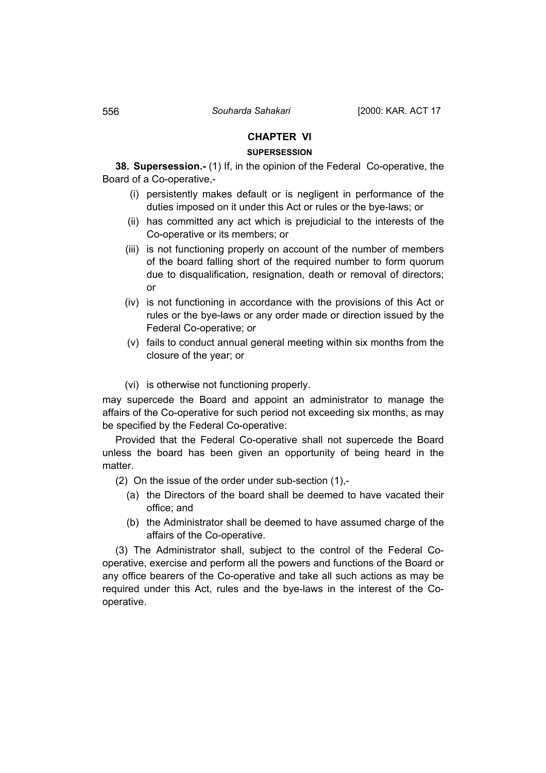### **CHAPTER VI**

### **SUPERSESSION**

**38. Supersession.-** (1) If, in the opinion of the Federal Co-operative, the Board of a Co-operative,-

- (i) persistently makes default or is negligent in performance of the duties imposed on it under this Act or rules or the bye-laws; or
- (ii) has committed any act which is prejudicial to the interests of the Co-operative or its members; or
- (iii) is not functioning properly on account of the number of members of the board falling short of the required number to form quorum due to disqualification, resignation, death or removal of directors; or
- (iv) is not functioning in accordance with the provisions of this Act or rules or the bye-laws or any order made or direction issued by the Federal Co-operative; or
- (v) fails to conduct annual general meeting within six months from the closure of the year; or
- (vi) is otherwise not functioning properly.

may supercede the Board and appoint an administrator to manage the affairs of the Co-operative for such period not exceeding six months, as may be specified by the Federal Co-operative:

Provided that the Federal Co-operative shall not supercede the Board unless the board has been given an opportunity of being heard in the matter.

(2) On the issue of the order under sub-section (1),-

- (a) the Directors of the board shall be deemed to have vacated their office; and
- (b) the Administrator shall be deemed to have assumed charge of the affairs of the Co-operative.

(3) The Administrator shall, subject to the control of the Federal Cooperative, exercise and perform all the powers and functions of the Board or any office bearers of the Co-operative and take all such actions as may be required under this Act, rules and the bye-laws in the interest of the Cooperative.

<span id="page-35-0"></span>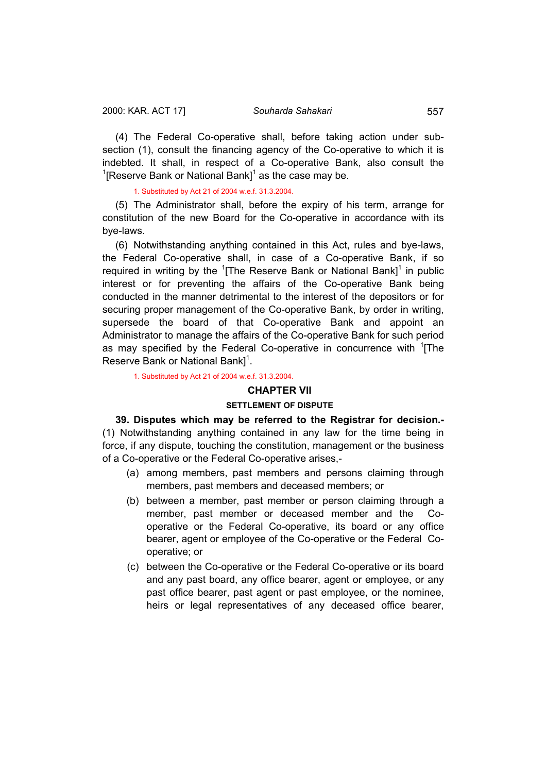<span id="page-36-0"></span>(4) The Federal Co-operative shall, before taking action under subsection (1), consult the financing agency of the Co-operative to which it is indebted. It shall, in respect of a Co-operative Bank, also consult the <sup>1</sup>[Reserve Bank or National Bank]<sup>1</sup> as the case may be.

1. Substituted by Act 21 of 2004 w.e.f. 31.3.2004.

(5) The Administrator shall, before the expiry of his term, arrange for constitution of the new Board for the Co-operative in accordance with its bye-laws.

(6) Notwithstanding anything contained in this Act, rules and bye-laws, the Federal Co-operative shall, in case of a Co-operative Bank, if so required in writing by the  $1$ <sup>1</sup> [The Reserve Bank or National Bank]<sup>1</sup> in public interest or for preventing the affairs of the Co-operative Bank being conducted in the manner detrimental to the interest of the depositors or for securing proper management of the Co-operative Bank, by order in writing, supersede the board of that Co-operative Bank and appoint an Administrator to manage the affairs of the Co-operative Bank for such period as may specified by the Federal Co-operative in concurrence with <sup>1</sup>[The Reserve Bank or National Bank]<sup>1</sup>.

1. Substituted by Act 21 of 2004 w.e.f. 31.3.2004.

# **CHAPTER VII**

#### **SETTLEMENT OF DISPUTE**

**39. Disputes which may be referred to the Registrar for decision.-**  (1) Notwithstanding anything contained in any law for the time being in force, if any dispute, touching the constitution, management or the business of a Co-operative or the Federal Co-operative arises,-

- (a) among members, past members and persons claiming through members, past members and deceased members; or
- (b) between a member, past member or person claiming through a member, past member or deceased member and the Cooperative or the Federal Co-operative, its board or any office bearer, agent or employee of the Co-operative or the Federal Cooperative; or
- (c) between the Co-operative or the Federal Co-operative or its board and any past board, any office bearer, agent or employee, or any past office bearer, past agent or past employee, or the nominee, heirs or legal representatives of any deceased office bearer,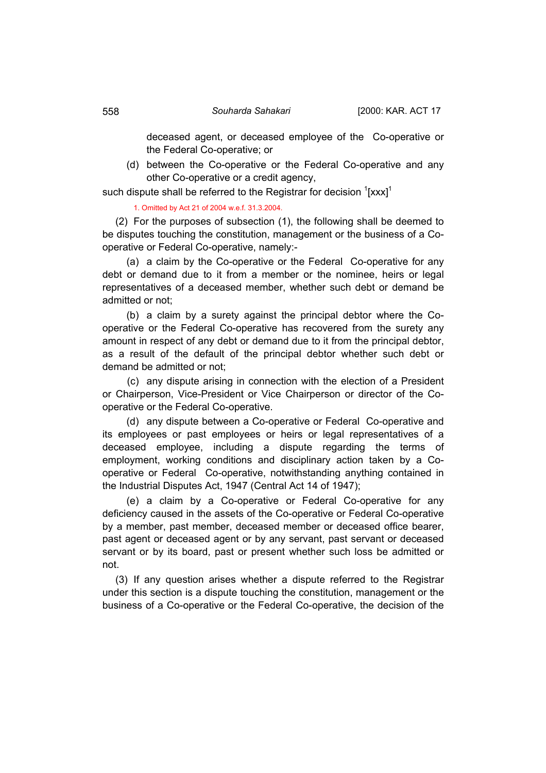deceased agent, or deceased employee of the Co-operative or the Federal Co-operative; or

 (d) between the Co-operative or the Federal Co-operative and any other Co-operative or a credit agency,

such dispute shall be referred to the Registrar for decision  $\frac{1}{2}$ [xxx]<sup>1</sup>

1. Omitted by Act 21 of 2004 w.e.f. 31.3.2004.

(2) For the purposes of subsection (1), the following shall be deemed to be disputes touching the constitution, management or the business of a Cooperative or Federal Co-operative, namely:-

 (a) a claim by the Co-operative or the Federal Co-operative for any debt or demand due to it from a member or the nominee, heirs or legal representatives of a deceased member, whether such debt or demand be admitted or not;

 (b) a claim by a surety against the principal debtor where the Cooperative or the Federal Co-operative has recovered from the surety any amount in respect of any debt or demand due to it from the principal debtor, as a result of the default of the principal debtor whether such debt or demand be admitted or not;

 (c) any dispute arising in connection with the election of a President or Chairperson, Vice-President or Vice Chairperson or director of the Cooperative or the Federal Co-operative.

 (d) any dispute between a Co-operative or Federal Co-operative and its employees or past employees or heirs or legal representatives of a deceased employee, including a dispute regarding the terms of employment, working conditions and disciplinary action taken by a Cooperative or Federal Co-operative, notwithstanding anything contained in the Industrial Disputes Act, 1947 (Central Act 14 of 1947);

 (e) a claim by a Co-operative or Federal Co-operative for any deficiency caused in the assets of the Co-operative or Federal Co-operative by a member, past member, deceased member or deceased office bearer, past agent or deceased agent or by any servant, past servant or deceased servant or by its board, past or present whether such loss be admitted or not.

(3) If any question arises whether a dispute referred to the Registrar under this section is a dispute touching the constitution, management or the business of a Co-operative or the Federal Co-operative, the decision of the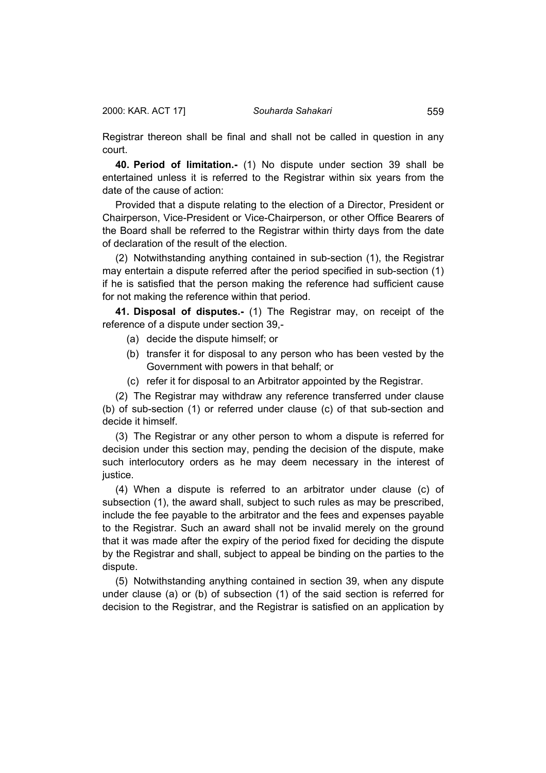<span id="page-38-0"></span>Registrar thereon shall be final and shall not be called in question in any court.

**40. Period of limitation.-** (1) No dispute under section 39 shall be entertained unless it is referred to the Registrar within six years from the date of the cause of action:

Provided that a dispute relating to the election of a Director, President or Chairperson, Vice-President or Vice-Chairperson, or other Office Bearers of the Board shall be referred to the Registrar within thirty days from the date of declaration of the result of the election.

(2) Notwithstanding anything contained in sub-section (1), the Registrar may entertain a dispute referred after the period specified in sub-section (1) if he is satisfied that the person making the reference had sufficient cause for not making the reference within that period.

**41. Disposal of disputes.-** (1) The Registrar may, on receipt of the reference of a dispute under section 39,-

- (a) decide the dispute himself; or
- (b) transfer it for disposal to any person who has been vested by the Government with powers in that behalf; or
- (c) refer it for disposal to an Arbitrator appointed by the Registrar.

(2) The Registrar may withdraw any reference transferred under clause (b) of sub-section (1) or referred under clause (c) of that sub-section and decide it himself.

(3) The Registrar or any other person to whom a dispute is referred for decision under this section may, pending the decision of the dispute, make such interlocutory orders as he may deem necessary in the interest of justice.

(4) When a dispute is referred to an arbitrator under clause (c) of subsection (1), the award shall, subject to such rules as may be prescribed, include the fee payable to the arbitrator and the fees and expenses payable to the Registrar. Such an award shall not be invalid merely on the ground that it was made after the expiry of the period fixed for deciding the dispute by the Registrar and shall, subject to appeal be binding on the parties to the dispute.

(5) Notwithstanding anything contained in section 39, when any dispute under clause (a) or (b) of subsection (1) of the said section is referred for decision to the Registrar, and the Registrar is satisfied on an application by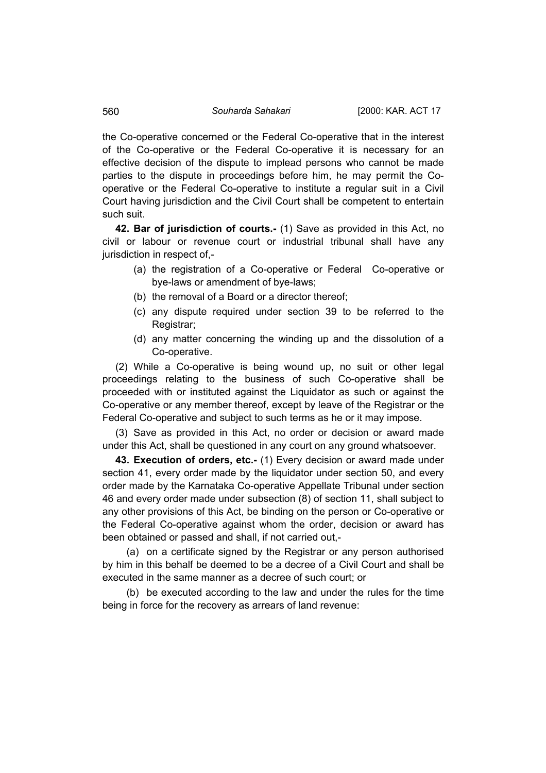the Co-operative concerned or the Federal Co-operative that in the interest of the Co-operative or the Federal Co-operative it is necessary for an effective decision of the dispute to implead persons who cannot be made parties to the dispute in proceedings before him, he may permit the Cooperative or the Federal Co-operative to institute a regular suit in a Civil Court having jurisdiction and the Civil Court shall be competent to entertain such suit.

**42. Bar of jurisdiction of courts.-** (1) Save as provided in this Act, no civil or labour or revenue court or industrial tribunal shall have any jurisdiction in respect of,-

- (a) the registration of a Co-operative or Federal Co-operative or bye-laws or amendment of bye-laws;
- (b) the removal of a Board or a director thereof;
- (c) any dispute required under section 39 to be referred to the Registrar;
- (d) any matter concerning the winding up and the dissolution of a Co-operative.

(2) While a Co-operative is being wound up, no suit or other legal proceedings relating to the business of such Co-operative shall be proceeded with or instituted against the Liquidator as such or against the Co-operative or any member thereof, except by leave of the Registrar or the Federal Co-operative and subject to such terms as he or it may impose.

(3) Save as provided in this Act, no order or decision or award made under this Act, shall be questioned in any court on any ground whatsoever.

**43. Execution of orders, etc.-** (1) Every decision or award made under section 41, every order made by the liquidator under section 50, and every order made by the Karnataka Co-operative Appellate Tribunal under section 46 and every order made under subsection (8) of section 11, shall subject to any other provisions of this Act, be binding on the person or Co-operative or the Federal Co-operative against whom the order, decision or award has been obtained or passed and shall, if not carried out,-

 (a) on a certificate signed by the Registrar or any person authorised by him in this behalf be deemed to be a decree of a Civil Court and shall be executed in the same manner as a decree of such court; or

 (b) be executed according to the law and under the rules for the time being in force for the recovery as arrears of land revenue:

<span id="page-39-0"></span>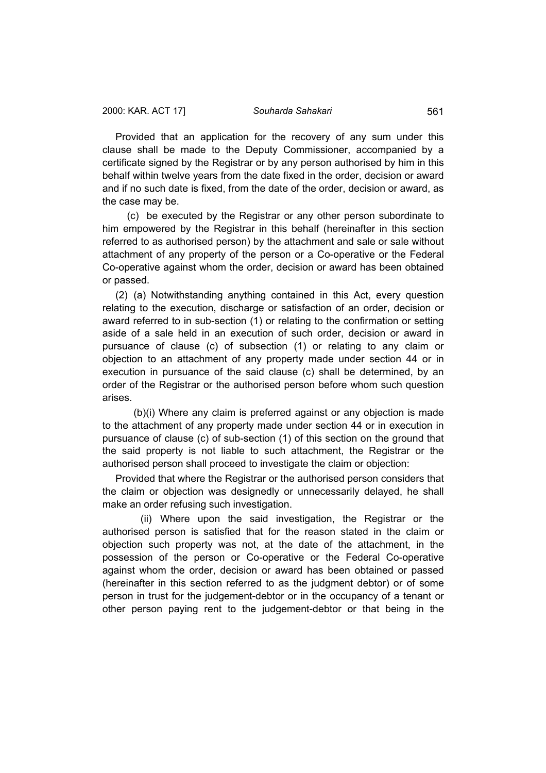Provided that an application for the recovery of any sum under this clause shall be made to the Deputy Commissioner, accompanied by a certificate signed by the Registrar or by any person authorised by him in this behalf within twelve years from the date fixed in the order, decision or award and if no such date is fixed, from the date of the order, decision or award, as the case may be.

 (c) be executed by the Registrar or any other person subordinate to him empowered by the Registrar in this behalf (hereinafter in this section referred to as authorised person) by the attachment and sale or sale without attachment of any property of the person or a Co-operative or the Federal Co-operative against whom the order, decision or award has been obtained or passed.

(2) (a) Notwithstanding anything contained in this Act, every question relating to the execution, discharge or satisfaction of an order, decision or award referred to in sub-section (1) or relating to the confirmation or setting aside of a sale held in an execution of such order, decision or award in pursuance of clause (c) of subsection (1) or relating to any claim or objection to an attachment of any property made under section 44 or in execution in pursuance of the said clause (c) shall be determined, by an order of the Registrar or the authorised person before whom such question arises.

 (b)(i) Where any claim is preferred against or any objection is made to the attachment of any property made under section 44 or in execution in pursuance of clause (c) of sub-section (1) of this section on the ground that the said property is not liable to such attachment, the Registrar or the authorised person shall proceed to investigate the claim or objection:

Provided that where the Registrar or the authorised person considers that the claim or objection was designedly or unnecessarily delayed, he shall make an order refusing such investigation.

 (ii) Where upon the said investigation, the Registrar or the authorised person is satisfied that for the reason stated in the claim or objection such property was not, at the date of the attachment, in the possession of the person or Co-operative or the Federal Co-operative against whom the order, decision or award has been obtained or passed (hereinafter in this section referred to as the judgment debtor) or of some person in trust for the judgement-debtor or in the occupancy of a tenant or other person paying rent to the judgement-debtor or that being in the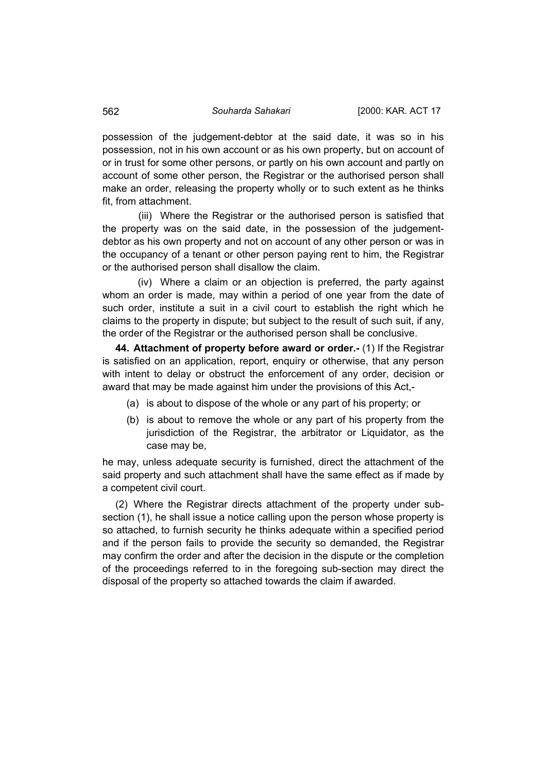possession of the judgement-debtor at the said date, it was so in his possession, not in his own account or as his own property, but on account of or in trust for some other persons, or partly on his own account and partly on account of some other person, the Registrar or the authorised person shall make an order, releasing the property wholly or to such extent as he thinks fit, from attachment.

 (iii) Where the Registrar or the authorised person is satisfied that the property was on the said date, in the possession of the judgementdebtor as his own property and not on account of any other person or was in the occupancy of a tenant or other person paying rent to him, the Registrar or the authorised person shall disallow the claim.

 (iv) Where a claim or an objection is preferred, the party against whom an order is made, may within a period of one year from the date of such order, institute a suit in a civil court to establish the right which he claims to the property in dispute; but subject to the result of such suit, if any, the order of the Registrar or the authorised person shall be conclusive.

**44. Attachment of property before award or order.-** (1) If the Registrar is satisfied on an application, report, enquiry or otherwise, that any person with intent to delay or obstruct the enforcement of any order, decision or award that may be made against him under the provisions of this Act,-

- (a) is about to dispose of the whole or any part of his property; or
- (b) is about to remove the whole or any part of his property from the jurisdiction of the Registrar, the arbitrator or Liquidator, as the case may be,

he may, unless adequate security is furnished, direct the attachment of the said property and such attachment shall have the same effect as if made by a competent civil court.

(2) Where the Registrar directs attachment of the property under subsection (1), he shall issue a notice calling upon the person whose property is so attached, to furnish security he thinks adequate within a specified period and if the person fails to provide the security so demanded, the Registrar may confirm the order and after the decision in the dispute or the completion of the proceedings referred to in the foregoing sub-section may direct the disposal of the property so attached towards the claim if awarded.

<span id="page-41-0"></span>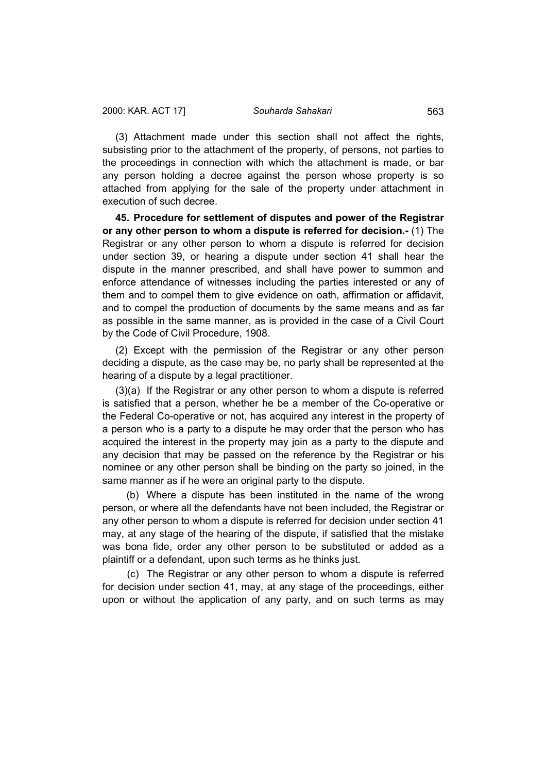<span id="page-42-0"></span>(3) Attachment made under this section shall not affect the rights, subsisting prior to the attachment of the property, of persons, not parties to the proceedings in connection with which the attachment is made, or bar any person holding a decree against the person whose property is so attached from applying for the sale of the property under attachment in execution of such decree.

**45. Procedure for settlement of disputes and power of the Registrar or any other person to whom a dispute is referred for decision.-** (1) The Registrar or any other person to whom a dispute is referred for decision under section 39, or hearing a dispute under section 41 shall hear the dispute in the manner prescribed, and shall have power to summon and enforce attendance of witnesses including the parties interested or any of them and to compel them to give evidence on oath, affirmation or affidavit, and to compel the production of documents by the same means and as far as possible in the same manner, as is provided in the case of a Civil Court by the Code of Civil Procedure, 1908.

(2) Except with the permission of the Registrar or any other person deciding a dispute, as the case may be, no party shall be represented at the hearing of a dispute by a legal practitioner.

(3)(a) If the Registrar or any other person to whom a dispute is referred is satisfied that a person, whether he be a member of the Co-operative or the Federal Co-operative or not, has acquired any interest in the property of a person who is a party to a dispute he may order that the person who has acquired the interest in the property may join as a party to the dispute and any decision that may be passed on the reference by the Registrar or his nominee or any other person shall be binding on the party so joined, in the same manner as if he were an original party to the dispute.

 (b) Where a dispute has been instituted in the name of the wrong person, or where all the defendants have not been included, the Registrar or any other person to whom a dispute is referred for decision under section 41 may, at any stage of the hearing of the dispute, if satisfied that the mistake was bona fide, order any other person to be substituted or added as a plaintiff or a defendant, upon such terms as he thinks just.

 (c) The Registrar or any other person to whom a dispute is referred for decision under section 41, may, at any stage of the proceedings, either upon or without the application of any party, and on such terms as may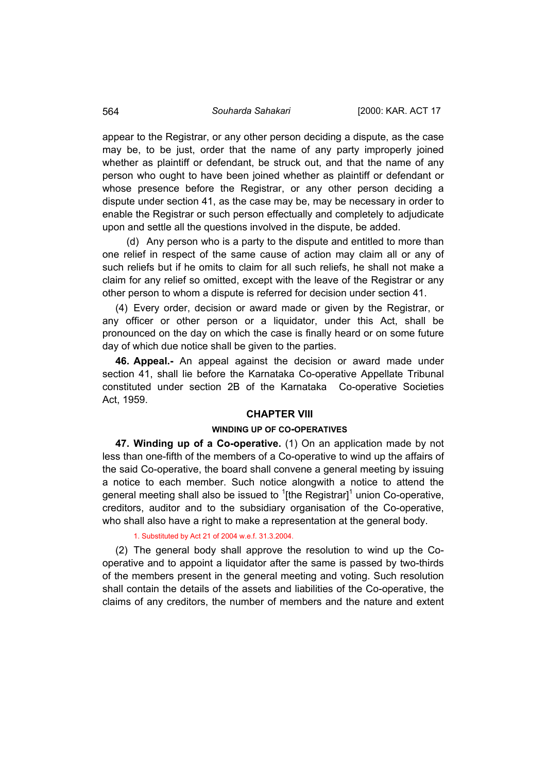appear to the Registrar, or any other person deciding a dispute, as the case may be, to be just, order that the name of any party improperly joined whether as plaintiff or defendant, be struck out, and that the name of any person who ought to have been joined whether as plaintiff or defendant or whose presence before the Registrar, or any other person deciding a dispute under section 41, as the case may be, may be necessary in order to enable the Registrar or such person effectually and completely to adjudicate upon and settle all the questions involved in the dispute, be added.

 (d) Any person who is a party to the dispute and entitled to more than one relief in respect of the same cause of action may claim all or any of such reliefs but if he omits to claim for all such reliefs, he shall not make a claim for any relief so omitted, except with the leave of the Registrar or any other person to whom a dispute is referred for decision under section 41.

(4) Every order, decision or award made or given by the Registrar, or any officer or other person or a liquidator, under this Act, shall be pronounced on the day on which the case is finally heard or on some future day of which due notice shall be given to the parties.

**46. Appeal.-** An appeal against the decision or award made under section 41, shall lie before the Karnataka Co-operative Appellate Tribunal constituted under section 2B of the Karnataka Co-operative Societies Act, 1959.

# **CHAPTER VIII**

# **WINDING UP OF CO-OPERATIVES**

**47. Winding up of a Co-operative.** (1) On an application made by not less than one-fifth of the members of a Co-operative to wind up the affairs of the said Co-operative, the board shall convene a general meeting by issuing a notice to each member. Such notice alongwith a notice to attend the general meeting shall also be issued to <sup>1</sup>[the Registrar]<sup>1</sup> union Co-operative, creditors, auditor and to the subsidiary organisation of the Co-operative, who shall also have a right to make a representation at the general body.

### 1. Substituted by Act 21 of 2004 w.e.f. 31.3.2004.

(2) The general body shall approve the resolution to wind up the Cooperative and to appoint a liquidator after the same is passed by two-thirds of the members present in the general meeting and voting. Such resolution shall contain the details of the assets and liabilities of the Co-operative, the claims of any creditors, the number of members and the nature and extent

<span id="page-43-0"></span>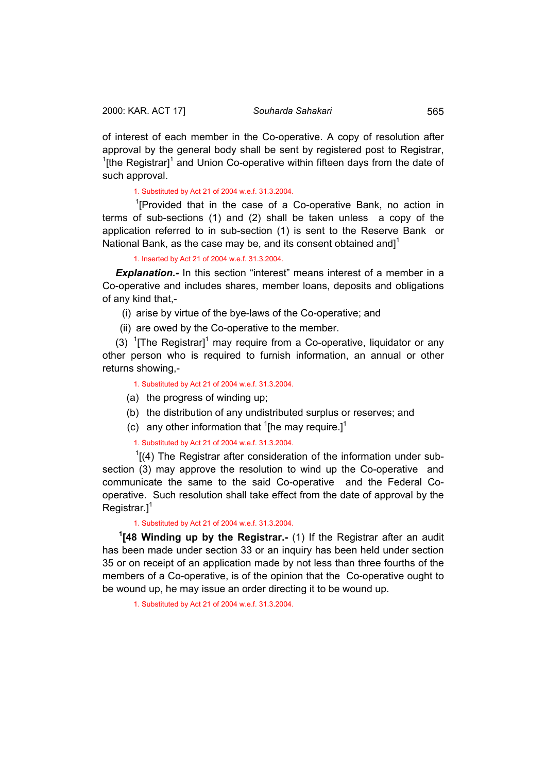<span id="page-44-0"></span>of interest of each member in the Co-operative. A copy of resolution after approval by the general body shall be sent by registered post to Registrar, <sup>1</sup>[the Registrar]<sup>1</sup> and Union Co-operative within fifteen days from the date of such approval.

# 1. Substituted by Act 21 of 2004 w.e.f. 31.3.2004.

<sup>1</sup>[Provided that in the case of a Co-operative Bank, no action in terms of sub-sections (1) and (2) shall be taken unless a copy of the application referred to in sub-section (1) is sent to the Reserve Bank or National Bank, as the case may be, and its consent obtained and] $1$ 

### 1. Inserted by Act 21 of 2004 w.e.f. 31.3.2004.

**Explanation.-** In this section "interest" means interest of a member in a Co-operative and includes shares, member loans, deposits and obligations of any kind that,-

- (i) arise by virtue of the bye-laws of the Co-operative; and
- (ii) are owed by the Co-operative to the member.

(3)  $1$ <sup>T</sup> The Registrar]<sup>1</sup> may require from a Co-operative, liquidator or any other person who is required to furnish information, an annual or other returns showing,-

#### 1. Substituted by Act 21 of 2004 w.e.f. 31.3.2004.

- (a) the progress of winding up;
- (b) the distribution of any undistributed surplus or reserves; and
- (c) any other information that  $1$ [he may require.]<sup>1</sup>

1. Substituted by Act 21 of 2004 w.e.f. 31.3.2004.

 $1$ [(4) The Registrar after consideration of the information under subsection (3) may approve the resolution to wind up the Co-operative and communicate the same to the said Co-operative and the Federal Cooperative. Such resolution shall take effect from the date of approval by the Registrar. $]$ <sup>1</sup>

#### 1. Substituted by Act 21 of 2004 w.e.f. 31.3.2004.

**1 [48 Winding up by the Registrar.-** (1) If the Registrar after an audit has been made under section 33 or an inquiry has been held under section 35 or on receipt of an application made by not less than three fourths of the members of a Co-operative, is of the opinion that the Co-operative ought to be wound up, he may issue an order directing it to be wound up.

1. Substituted by Act 21 of 2004 w.e.f. 31.3.2004.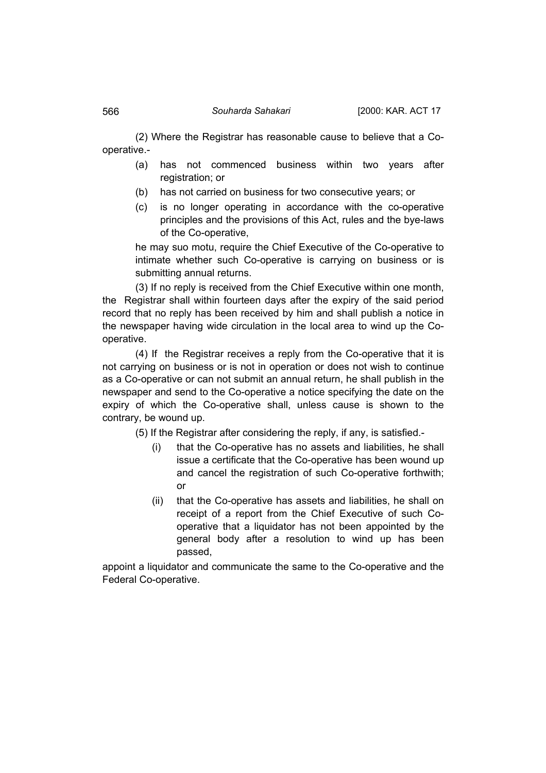(2) Where the Registrar has reasonable cause to believe that a Cooperative.-

- (a) has not commenced business within two years after registration; or
- (b) has not carried on business for two consecutive years; or
- (c) is no longer operating in accordance with the co-operative principles and the provisions of this Act, rules and the bye-laws of the Co-operative,

he may suo motu, require the Chief Executive of the Co-operative to intimate whether such Co-operative is carrying on business or is submitting annual returns.

(3) If no reply is received from the Chief Executive within one month, the Registrar shall within fourteen days after the expiry of the said period record that no reply has been received by him and shall publish a notice in the newspaper having wide circulation in the local area to wind up the Cooperative.

(4) If the Registrar receives a reply from the Co-operative that it is not carrying on business or is not in operation or does not wish to continue as a Co-operative or can not submit an annual return, he shall publish in the newspaper and send to the Co-operative a notice specifying the date on the expiry of which the Co-operative shall, unless cause is shown to the contrary, be wound up.

(5) If the Registrar after considering the reply, if any, is satisfied.-

- (i) that the Co-operative has no assets and liabilities, he shall issue a certificate that the Co-operative has been wound up and cancel the registration of such Co-operative forthwith; or
- (ii) that the Co-operative has assets and liabilities, he shall on receipt of a report from the Chief Executive of such Cooperative that a liquidator has not been appointed by the general body after a resolution to wind up has been passed,

appoint a liquidator and communicate the same to the Co-operative and the Federal Co-operative.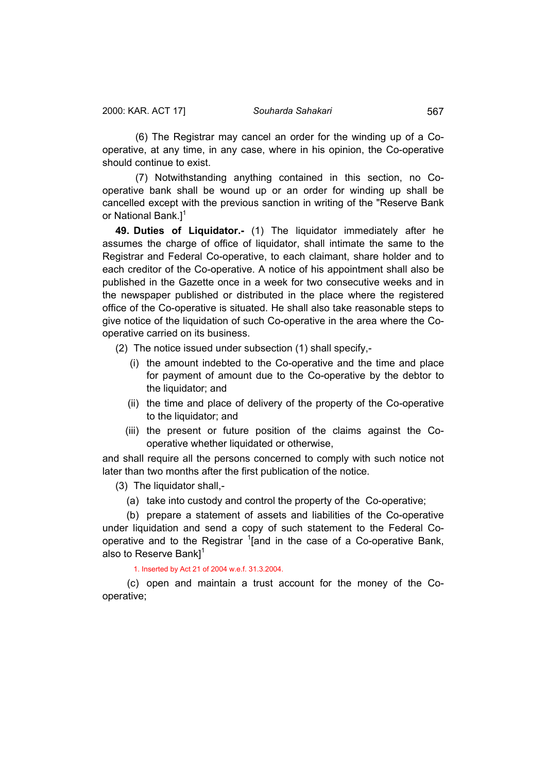<span id="page-46-0"></span>(6) The Registrar may cancel an order for the winding up of a Cooperative, at any time, in any case, where in his opinion, the Co-operative should continue to exist.

(7) Notwithstanding anything contained in this section, no Cooperative bank shall be wound up or an order for winding up shall be cancelled except with the previous sanction in writing of the "Reserve Bank or National Bank.<sup>1</sup>

**49. Duties of Liquidator.-** (1) The liquidator immediately after he assumes the charge of office of liquidator, shall intimate the same to the Registrar and Federal Co-operative, to each claimant, share holder and to each creditor of the Co-operative. A notice of his appointment shall also be published in the Gazette once in a week for two consecutive weeks and in the newspaper published or distributed in the place where the registered office of the Co-operative is situated. He shall also take reasonable steps to give notice of the liquidation of such Co-operative in the area where the Cooperative carried on its business.

- (2) The notice issued under subsection (1) shall specify,-
	- (i) the amount indebted to the Co-operative and the time and place for payment of amount due to the Co-operative by the debtor to the liquidator; and
	- (ii) the time and place of delivery of the property of the Co-operative to the liquidator; and
	- (iii) the present or future position of the claims against the Cooperative whether liquidated or otherwise,

and shall require all the persons concerned to comply with such notice not later than two months after the first publication of the notice.

(3) The liquidator shall,-

(a) take into custody and control the property of the Co-operative;

 (b) prepare a statement of assets and liabilities of the Co-operative under liquidation and send a copy of such statement to the Federal Cooperative and to the Registrar <sup>1</sup>[and in the case of a Co-operative Bank, also to Reserve Bank $]$ <sup>1</sup>

# 1. Inserted by Act 21 of 2004 w.e.f. 31.3.2004.

 (c) open and maintain a trust account for the money of the Cooperative;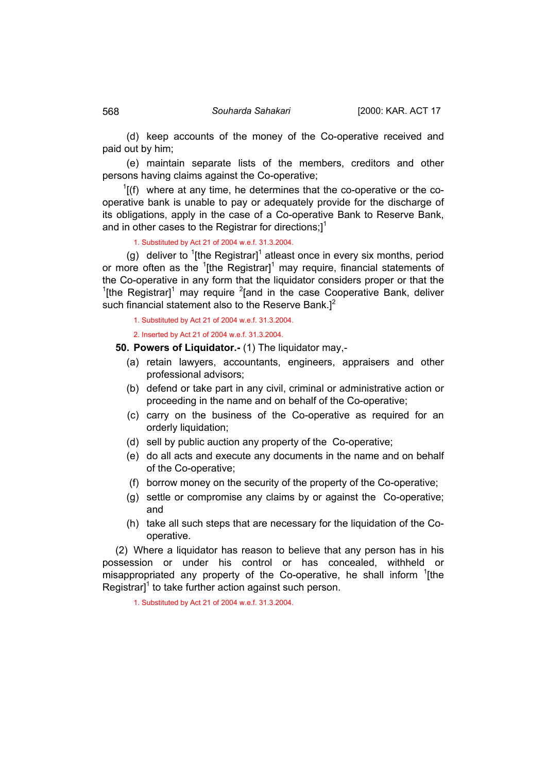(d) keep accounts of the money of the Co-operative received and paid out by him;

 (e) maintain separate lists of the members, creditors and other persons having claims against the Co-operative;

 $1$ <sup>1</sup>[(f) where at any time, he determines that the co-operative or the cooperative bank is unable to pay or adequately provide for the discharge of its obligations, apply in the case of a Co-operative Bank to Reserve Bank, and in other cases to the Registrar for directions;]<sup>1</sup>

1. Substituted by Act 21 of 2004 w.e.f. 31.3.2004.

(g) deliver to <sup>1</sup>[the Registrar]<sup>1</sup> atleast once in every six months, period or more often as the  $1$ [the Registrar]<sup>1</sup> may require, financial statements of the Co-operative in any form that the liquidator considers proper or that the <sup>1</sup>[the Registrar]<sup>1</sup> may require <sup>2</sup>[and in the case Cooperative Bank, deliver such financial statement also to the Reserve Bank. $]^{2}$ 

1. Substituted by Act 21 of 2004 w.e.f. 31.3.2004.

2. Inserted by Act 21 of 2004 w.e.f. 31.3.2004.

**50. Powers of Liquidator.-** (1) The liquidator may,-

- (a) retain lawyers, accountants, engineers, appraisers and other professional advisors;
- (b) defend or take part in any civil, criminal or administrative action or proceeding in the name and on behalf of the Co-operative;
- (c) carry on the business of the Co-operative as required for an orderly liquidation:
- (d) sell by public auction any property of the Co-operative;
- (e) do all acts and execute any documents in the name and on behalf of the Co-operative;
- (f) borrow money on the security of the property of the Co-operative;
- (g) settle or compromise any claims by or against the Co-operative; and
- (h) take all such steps that are necessary for the liquidation of the Cooperative.

(2) Where a liquidator has reason to believe that any person has in his possession or under his control or has concealed, withheld or misappropriated any property of the Co-operative, he shall inform <sup>1</sup>[the Registrar] $1$  to take further action against such person.

1. Substituted by Act 21 of 2004 w.e.f. 31.3.2004.

<span id="page-47-0"></span>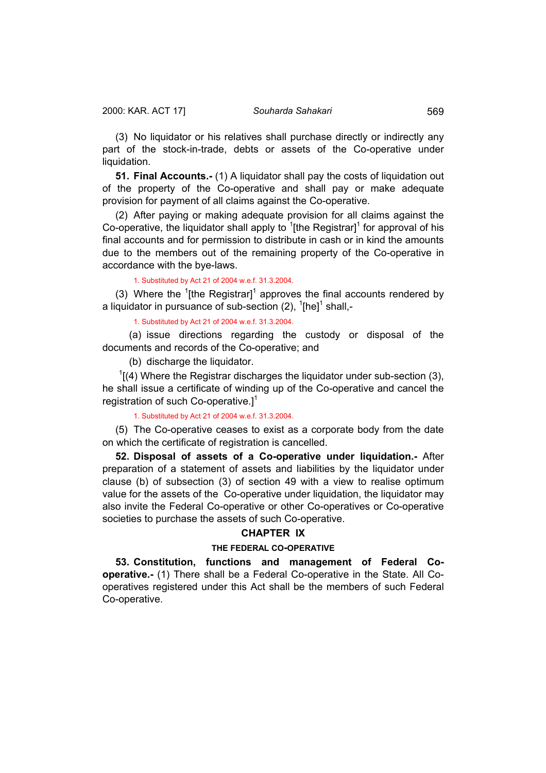<span id="page-48-0"></span>(3) No liquidator or his relatives shall purchase directly or indirectly any part of the stock-in-trade, debts or assets of the Co-operative under liquidation.

**51. Final Accounts.-** (1) A liquidator shall pay the costs of liquidation out of the property of the Co-operative and shall pay or make adequate provision for payment of all claims against the Co-operative.

(2) After paying or making adequate provision for all claims against the Co-operative, the liquidator shall apply to  $1$ [the Registrar]<sup>1</sup> for approval of his final accounts and for permission to distribute in cash or in kind the amounts due to the members out of the remaining property of the Co-operative in accordance with the bye-laws.

1. Substituted by Act 21 of 2004 w.e.f. 31.3.2004.

(3) Where the  $1$ <sup>t</sup> the Registrar]<sup>1</sup> approves the final accounts rendered by a liquidator in pursuance of sub-section (2),  ${}^{1}$ [he]<sup>1</sup> shall,-

1. Substituted by Act 21 of 2004 w.e.f. 31.3.2004.

 (a) issue directions regarding the custody or disposal of the documents and records of the Co-operative; and

(b) discharge the liquidator.

 $1$ [(4) Where the Registrar discharges the liquidator under sub-section (3), he shall issue a certificate of winding up of the Co-operative and cancel the registration of such Co-operative.<sup>1</sup>

1. Substituted by Act 21 of 2004 w.e.f. 31.3.2004.

(5) The Co-operative ceases to exist as a corporate body from the date on which the certificate of registration is cancelled.

**52. Disposal of assets of a Co-operative under liquidation.-** After preparation of a statement of assets and liabilities by the liquidator under clause (b) of subsection (3) of section 49 with a view to realise optimum value for the assets of the Co-operative under liquidation, the liquidator may also invite the Federal Co-operative or other Co-operatives or Co-operative societies to purchase the assets of such Co-operative.

# **CHAPTER IX**

### **THE FEDERAL CO-OPERATIVE**

**53. Constitution, functions and management of Federal Cooperative.-** (1) There shall be a Federal Co-operative in the State. All Cooperatives registered under this Act shall be the members of such Federal Co-operative.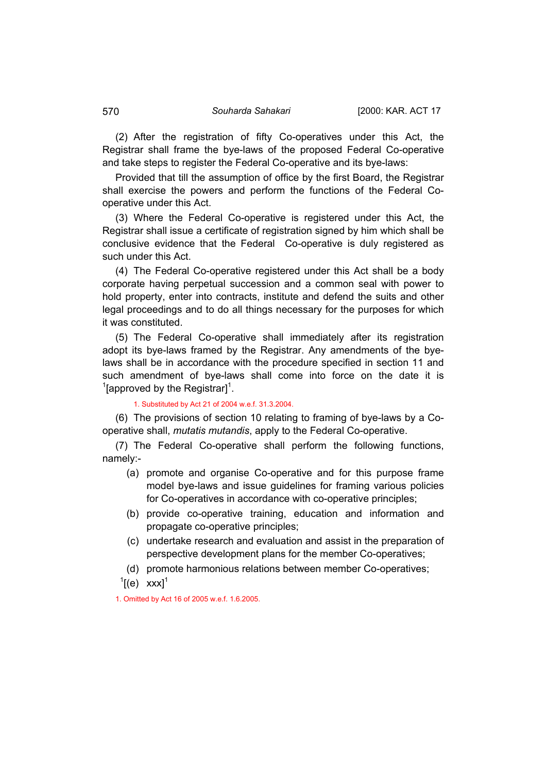(2) After the registration of fifty Co-operatives under this Act, the Registrar shall frame the bye-laws of the proposed Federal Co-operative and take steps to register the Federal Co-operative and its bye-laws:

Provided that till the assumption of office by the first Board, the Registrar shall exercise the powers and perform the functions of the Federal Cooperative under this Act.

(3) Where the Federal Co-operative is registered under this Act, the Registrar shall issue a certificate of registration signed by him which shall be conclusive evidence that the Federal Co-operative is duly registered as such under this Act.

(4) The Federal Co-operative registered under this Act shall be a body corporate having perpetual succession and a common seal with power to hold property, enter into contracts, institute and defend the suits and other legal proceedings and to do all things necessary for the purposes for which it was constituted.

(5) The Federal Co-operative shall immediately after its registration adopt its bye-laws framed by the Registrar. Any amendments of the byelaws shall be in accordance with the procedure specified in section 11 and such amendment of bye-laws shall come into force on the date it is  $\rm ^1$ [approved by the Registrar]<sup>1</sup>.

1. Substituted by Act 21 of 2004 w.e.f. 31.3.2004.

(6) The provisions of section 10 relating to framing of bye-laws by a Cooperative shall, *mutatis mutandis*, apply to the Federal Co-operative.

(7) The Federal Co-operative shall perform the following functions, namely:-

- (a) promote and organise Co-operative and for this purpose frame model bye-laws and issue guidelines for framing various policies for Co-operatives in accordance with co-operative principles;
- (b) provide co-operative training, education and information and propagate co-operative principles;
- (c) undertake research and evaluation and assist in the preparation of perspective development plans for the member Co-operatives;
- (d) promote harmonious relations between member Co-operatives;
- $\left[ \text{(e)} \quad \text{xxx} \right]^1$

1. Omitted by Act 16 of 2005 w.e.f. 1.6.2005.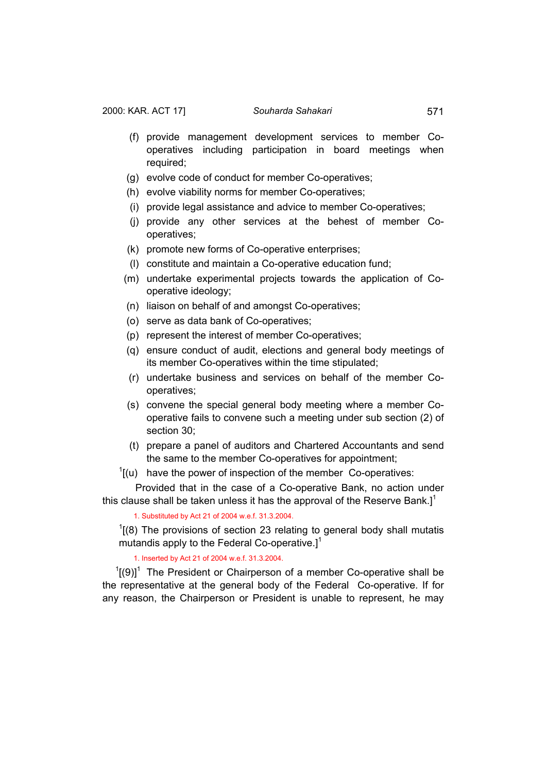- (f) provide management development services to member Cooperatives including participation in board meetings when required;
- (g) evolve code of conduct for member Co-operatives;
- (h) evolve viability norms for member Co-operatives;
- (i) provide legal assistance and advice to member Co-operatives;
- (j) provide any other services at the behest of member Cooperatives;
- (k) promote new forms of Co-operative enterprises;
- (l) constitute and maintain a Co-operative education fund;
- (m) undertake experimental projects towards the application of Cooperative ideology;
- (n) liaison on behalf of and amongst Co-operatives;
- (o) serve as data bank of Co-operatives;
- (p) represent the interest of member Co-operatives;
- (q) ensure conduct of audit, elections and general body meetings of its member Co-operatives within the time stipulated;
- (r) undertake business and services on behalf of the member Cooperatives;
- (s) convene the special general body meeting where a member Cooperative fails to convene such a meeting under sub section (2) of section 30;
- (t) prepare a panel of auditors and Chartered Accountants and send the same to the member Co-operatives for appointment;
- $I(u)$  have the power of inspection of the member Co-operatives:

Provided that in the case of a Co-operative Bank, no action under this clause shall be taken unless it has the approval of the Reserve Bank.]<sup>1</sup>

1. Substituted by Act 21 of 2004 w.e.f. 31.3.2004.

 $<sup>1</sup>$ [(8) The provisions of section 23 relating to general body shall mutatis</sup> mutandis apply to the Federal Co-operative.]<sup>1</sup>

1. Inserted by Act 21 of 2004 w.e.f. 31.3.2004.

 $1(9)$ <sup>1</sup> The President or Chairperson of a member Co-operative shall be the representative at the general body of the Federal Co-operative. If for any reason, the Chairperson or President is unable to represent, he may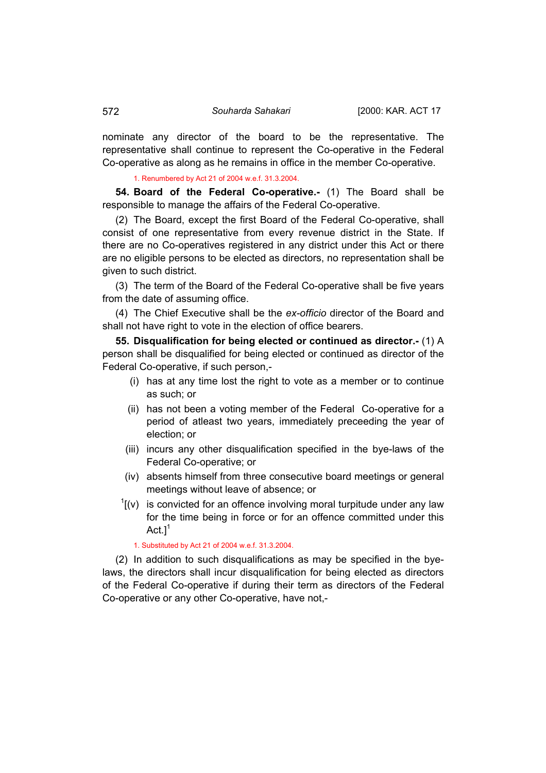nominate any director of the board to be the representative. The representative shall continue to represent the Co-operative in the Federal Co-operative as along as he remains in office in the member Co-operative.

1. Renumbered by Act 21 of 2004 w.e.f. 31.3.2004.

**54. Board of the Federal Co-operative.-** (1) The Board shall be responsible to manage the affairs of the Federal Co-operative.

(2) The Board, except the first Board of the Federal Co-operative, shall consist of one representative from every revenue district in the State. If there are no Co-operatives registered in any district under this Act or there are no eligible persons to be elected as directors, no representation shall be given to such district.

(3) The term of the Board of the Federal Co-operative shall be five years from the date of assuming office.

(4) The Chief Executive shall be the *ex-officio* director of the Board and shall not have right to vote in the election of office bearers.

**55. Disqualification for being elected or continued as director.-** (1) A person shall be disqualified for being elected or continued as director of the Federal Co-operative, if such person,-

- (i) has at any time lost the right to vote as a member or to continue as such; or
- (ii) has not been a voting member of the Federal Co-operative for a period of atleast two years, immediately preceeding the year of election; or
- (iii) incurs any other disqualification specified in the bye-laws of the Federal Co-operative; or
- (iv) absents himself from three consecutive board meetings or general meetings without leave of absence; or
- $1$ [(v) is convicted for an offence involving moral turpitude under any law for the time being in force or for an offence committed under this  $Act.1<sup>1</sup>$

1. Substituted by Act 21 of 2004 w.e.f. 31.3.2004.

(2) In addition to such disqualifications as may be specified in the byelaws, the directors shall incur disqualification for being elected as directors of the Federal Co-operative if during their term as directors of the Federal Co-operative or any other Co-operative, have not,-

<span id="page-51-0"></span>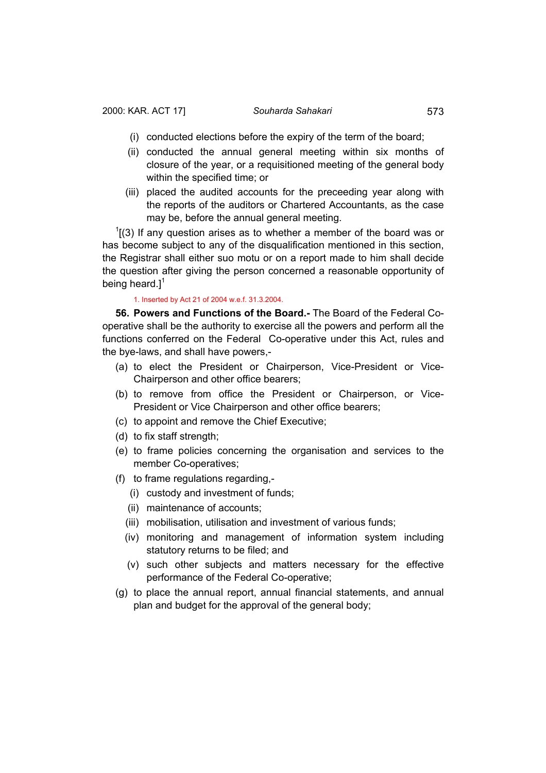- <span id="page-52-0"></span>(i) conducted elections before the expiry of the term of the board;
- (ii) conducted the annual general meeting within six months of closure of the year, or a requisitioned meeting of the general body within the specified time; or
- (iii) placed the audited accounts for the preceeding year along with the reports of the auditors or Chartered Accountants, as the case may be, before the annual general meeting.

 $1(3)$  If any question arises as to whether a member of the board was or has become subject to any of the disqualification mentioned in this section, the Registrar shall either suo motu or on a report made to him shall decide the question after giving the person concerned a reasonable opportunity of being heard.] $<sup>1</sup>$ </sup>

## 1. Inserted by Act 21 of 2004 w.e.f. 31.3.2004.

**56. Powers and Functions of the Board.-** The Board of the Federal Cooperative shall be the authority to exercise all the powers and perform all the functions conferred on the Federal Co-operative under this Act, rules and the bye-laws, and shall have powers,-

- (a) to elect the President or Chairperson, Vice-President or Vice-Chairperson and other office bearers;
- (b) to remove from office the President or Chairperson, or Vice-President or Vice Chairperson and other office bearers;
- (c) to appoint and remove the Chief Executive;
- (d) to fix staff strength;
- (e) to frame policies concerning the organisation and services to the member Co-operatives;
- (f) to frame regulations regarding,-
	- (i) custody and investment of funds;
	- (ii) maintenance of accounts;
	- (iii) mobilisation, utilisation and investment of various funds;
	- (iv) monitoring and management of information system including statutory returns to be filed; and
	- (v) such other subjects and matters necessary for the effective performance of the Federal Co-operative;
- (g) to place the annual report, annual financial statements, and annual plan and budget for the approval of the general body;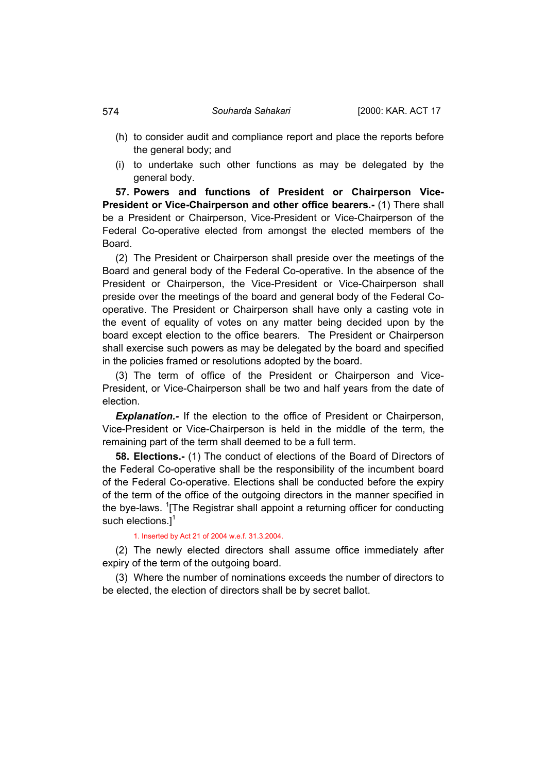- (h) to consider audit and compliance report and place the reports before the general body; and
- (i) to undertake such other functions as may be delegated by the general body.

**57. Powers and functions of President or Chairperson Vice-President or Vice-Chairperson and other office bearers.-** (1) There shall be a President or Chairperson, Vice-President or Vice-Chairperson of the Federal Co-operative elected from amongst the elected members of the Board.

(2) The President or Chairperson shall preside over the meetings of the Board and general body of the Federal Co-operative. In the absence of the President or Chairperson, the Vice-President or Vice-Chairperson shall preside over the meetings of the board and general body of the Federal Cooperative. The President or Chairperson shall have only a casting vote in the event of equality of votes on any matter being decided upon by the board except election to the office bearers. The President or Chairperson shall exercise such powers as may be delegated by the board and specified in the policies framed or resolutions adopted by the board.

(3) The term of office of the President or Chairperson and Vice-President, or Vice-Chairperson shall be two and half years from the date of election.

**Explanation.-** If the election to the office of President or Chairperson, Vice-President or Vice-Chairperson is held in the middle of the term, the remaining part of the term shall deemed to be a full term.

**58. Elections.-** (1) The conduct of elections of the Board of Directors of the Federal Co-operative shall be the responsibility of the incumbent board of the Federal Co-operative. Elections shall be conducted before the expiry of the term of the office of the outgoing directors in the manner specified in the bye-laws. <sup>1</sup>[The Registrar shall appoint a returning officer for conducting such elections.] $<sup>1</sup>$ </sup>

## 1. Inserted by Act 21 of 2004 w.e.f. 31.3.2004.

(2) The newly elected directors shall assume office immediately after expiry of the term of the outgoing board.

(3) Where the number of nominations exceeds the number of directors to be elected, the election of directors shall be by secret ballot.

<span id="page-53-0"></span>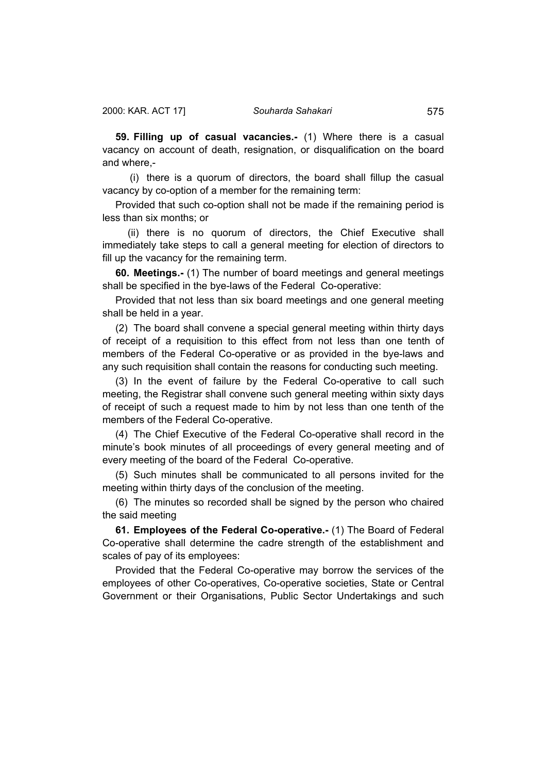<span id="page-54-0"></span>**59. Filling up of casual vacancies.-** (1) Where there is a casual vacancy on account of death, resignation, or disqualification on the board and where,-

 (i) there is a quorum of directors, the board shall fillup the casual vacancy by co-option of a member for the remaining term:

Provided that such co-option shall not be made if the remaining period is less than six months; or

 (ii) there is no quorum of directors, the Chief Executive shall immediately take steps to call a general meeting for election of directors to fill up the vacancy for the remaining term.

**60. Meetings.-** (1) The number of board meetings and general meetings shall be specified in the bye-laws of the Federal Co-operative:

Provided that not less than six board meetings and one general meeting shall be held in a year.

(2) The board shall convene a special general meeting within thirty days of receipt of a requisition to this effect from not less than one tenth of members of the Federal Co-operative or as provided in the bye-laws and any such requisition shall contain the reasons for conducting such meeting.

(3) In the event of failure by the Federal Co-operative to call such meeting, the Registrar shall convene such general meeting within sixty days of receipt of such a request made to him by not less than one tenth of the members of the Federal Co-operative.

(4) The Chief Executive of the Federal Co-operative shall record in the minute's book minutes of all proceedings of every general meeting and of every meeting of the board of the Federal Co-operative.

(5) Such minutes shall be communicated to all persons invited for the meeting within thirty days of the conclusion of the meeting.

(6) The minutes so recorded shall be signed by the person who chaired the said meeting

**61. Employees of the Federal Co-operative.-** (1) The Board of Federal Co-operative shall determine the cadre strength of the establishment and scales of pay of its employees:

Provided that the Federal Co-operative may borrow the services of the employees of other Co-operatives, Co-operative societies, State or Central Government or their Organisations, Public Sector Undertakings and such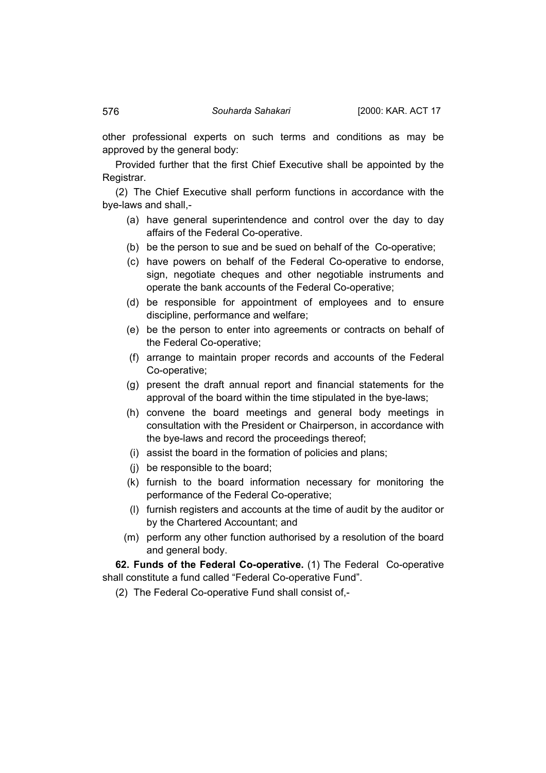other professional experts on such terms and conditions as may be approved by the general body:

Provided further that the first Chief Executive shall be appointed by the Registrar.

(2) The Chief Executive shall perform functions in accordance with the bye-laws and shall,-

- (a) have general superintendence and control over the day to day affairs of the Federal Co-operative.
- (b) be the person to sue and be sued on behalf of the Co-operative;
- (c) have powers on behalf of the Federal Co-operative to endorse, sign, negotiate cheques and other negotiable instruments and operate the bank accounts of the Federal Co-operative;
- (d) be responsible for appointment of employees and to ensure discipline, performance and welfare;
- (e) be the person to enter into agreements or contracts on behalf of the Federal Co-operative;
- (f) arrange to maintain proper records and accounts of the Federal Co-operative;
- (g) present the draft annual report and financial statements for the approval of the board within the time stipulated in the bye-laws;
- (h) convene the board meetings and general body meetings in consultation with the President or Chairperson, in accordance with the bye-laws and record the proceedings thereof;
- (i) assist the board in the formation of policies and plans;
- (j) be responsible to the board;
- (k) furnish to the board information necessary for monitoring the performance of the Federal Co-operative;
- (l) furnish registers and accounts at the time of audit by the auditor or by the Chartered Accountant; and
- (m) perform any other function authorised by a resolution of the board and general body.

**62. Funds of the Federal Co-operative.** (1) The Federal Co-operative shall constitute a fund called "Federal Co-operative Fund".

(2) The Federal Co-operative Fund shall consist of,-

<span id="page-55-0"></span>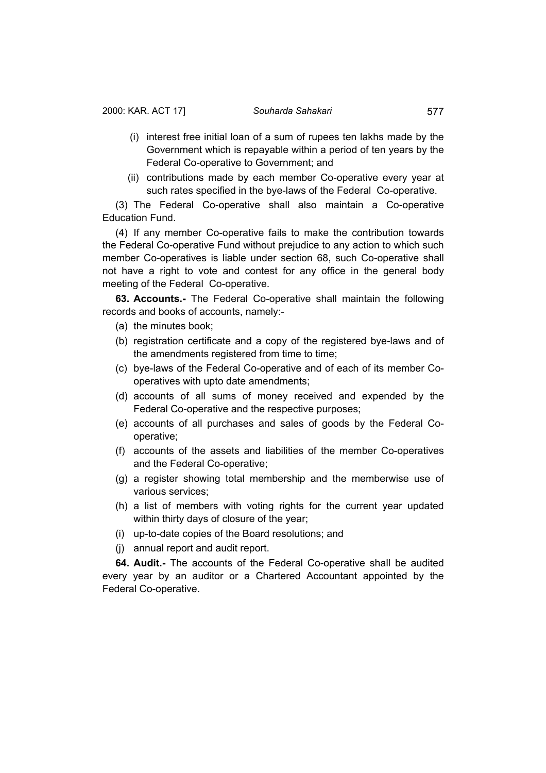- <span id="page-56-0"></span> (i) interest free initial loan of a sum of rupees ten lakhs made by the Government which is repayable within a period of ten years by the Federal Co-operative to Government; and
- (ii) contributions made by each member Co-operative every year at such rates specified in the bye-laws of the Federal Co-operative.

(3) The Federal Co-operative shall also maintain a Co-operative Education Fund.

(4) If any member Co-operative fails to make the contribution towards the Federal Co-operative Fund without prejudice to any action to which such member Co-operatives is liable under section 68, such Co-operative shall not have a right to vote and contest for any office in the general body meeting of the Federal Co-operative.

**63. Accounts.-** The Federal Co-operative shall maintain the following records and books of accounts, namely:-

- (a) the minutes book;
- (b) registration certificate and a copy of the registered bye-laws and of the amendments registered from time to time;
- (c) bye-laws of the Federal Co-operative and of each of its member Cooperatives with upto date amendments;
- (d) accounts of all sums of money received and expended by the Federal Co-operative and the respective purposes;
- (e) accounts of all purchases and sales of goods by the Federal Cooperative;
- (f) accounts of the assets and liabilities of the member Co-operatives and the Federal Co-operative;
- (g) a register showing total membership and the memberwise use of various services;
- (h) a list of members with voting rights for the current year updated within thirty days of closure of the year;
- (i) up-to-date copies of the Board resolutions; and
- (j) annual report and audit report.

**64. Audit.-** The accounts of the Federal Co-operative shall be audited every year by an auditor or a Chartered Accountant appointed by the Federal Co-operative.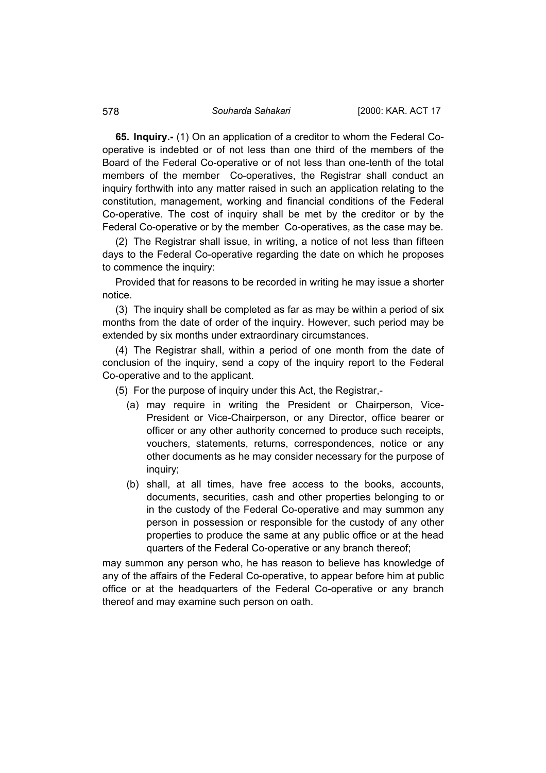**65. Inquiry.-** (1) On an application of a creditor to whom the Federal Cooperative is indebted or of not less than one third of the members of the Board of the Federal Co-operative or of not less than one-tenth of the total members of the member Co-operatives, the Registrar shall conduct an inquiry forthwith into any matter raised in such an application relating to the constitution, management, working and financial conditions of the Federal Co-operative. The cost of inquiry shall be met by the creditor or by the Federal Co-operative or by the member Co-operatives, as the case may be.

(2) The Registrar shall issue, in writing, a notice of not less than fifteen days to the Federal Co-operative regarding the date on which he proposes to commence the inquiry:

Provided that for reasons to be recorded in writing he may issue a shorter notice.

(3) The inquiry shall be completed as far as may be within a period of six months from the date of order of the inquiry. However, such period may be extended by six months under extraordinary circumstances.

(4) The Registrar shall, within a period of one month from the date of conclusion of the inquiry, send a copy of the inquiry report to the Federal Co-operative and to the applicant.

(5) For the purpose of inquiry under this Act, the Registrar,-

- (a) may require in writing the President or Chairperson, Vice-President or Vice-Chairperson, or any Director, office bearer or officer or any other authority concerned to produce such receipts, vouchers, statements, returns, correspondences, notice or any other documents as he may consider necessary for the purpose of inquiry;
- (b) shall, at all times, have free access to the books, accounts, documents, securities, cash and other properties belonging to or in the custody of the Federal Co-operative and may summon any person in possession or responsible for the custody of any other properties to produce the same at any public office or at the head quarters of the Federal Co-operative or any branch thereof;

may summon any person who, he has reason to believe has knowledge of any of the affairs of the Federal Co-operative, to appear before him at public office or at the headquarters of the Federal Co-operative or any branch thereof and may examine such person on oath.

<span id="page-57-0"></span>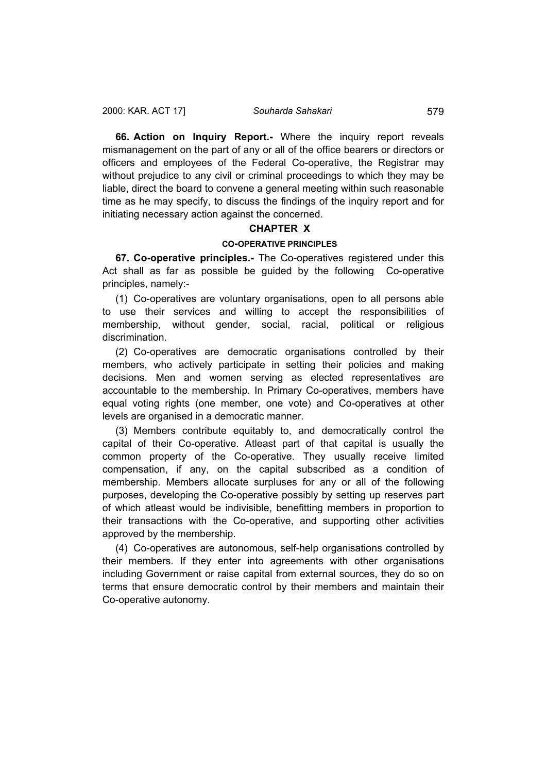<span id="page-58-0"></span>**66. Action on Inquiry Report.-** Where the inquiry report reveals mismanagement on the part of any or all of the office bearers or directors or officers and employees of the Federal Co-operative, the Registrar may without prejudice to any civil or criminal proceedings to which they may be liable, direct the board to convene a general meeting within such reasonable time as he may specify, to discuss the findings of the inquiry report and for initiating necessary action against the concerned.

# **CHAPTER X**

# **CO-OPERATIVE PRINCIPLES**

**67. Co-operative principles.-** The Co-operatives registered under this Act shall as far as possible be guided by the following Co-operative principles, namely:-

(1) Co-operatives are voluntary organisations, open to all persons able to use their services and willing to accept the responsibilities of membership, without gender, social, racial, political or religious discrimination.

(2) Co-operatives are democratic organisations controlled by their members, who actively participate in setting their policies and making decisions. Men and women serving as elected representatives are accountable to the membership. In Primary Co-operatives, members have equal voting rights (one member, one vote) and Co-operatives at other levels are organised in a democratic manner.

(3) Members contribute equitably to, and democratically control the capital of their Co-operative. Atleast part of that capital is usually the common property of the Co-operative. They usually receive limited compensation, if any, on the capital subscribed as a condition of membership. Members allocate surpluses for any or all of the following purposes, developing the Co-operative possibly by setting up reserves part of which atleast would be indivisible, benefitting members in proportion to their transactions with the Co-operative, and supporting other activities approved by the membership.

(4) Co-operatives are autonomous, self-help organisations controlled by their members. If they enter into agreements with other organisations including Government or raise capital from external sources, they do so on terms that ensure democratic control by their members and maintain their Co-operative autonomy.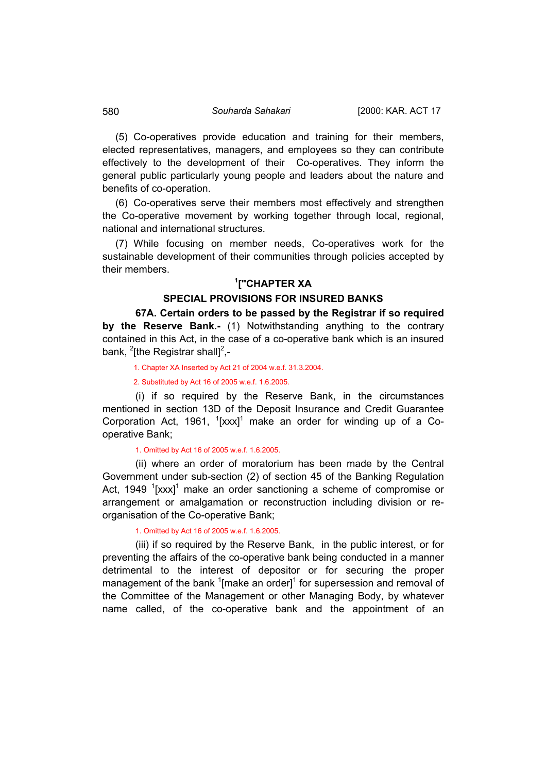(5) Co-operatives provide education and training for their members, elected representatives, managers, and employees so they can contribute effectively to the development of their Co-operatives. They inform the general public particularly young people and leaders about the nature and benefits of co-operation.

(6) Co-operatives serve their members most effectively and strengthen the Co-operative movement by working together through local, regional, national and international structures.

(7) While focusing on member needs, Co-operatives work for the sustainable development of their communities through policies accepted by their members.

# **1 [''CHAPTER XA**

# **SPECIAL PROVISIONS FOR INSURED BANKS**

**67A. Certain orders to be passed by the Registrar if so required by the Reserve Bank.-** (1) Notwithstanding anything to the contrary contained in this Act, in the case of a co-operative bank which is an insured bank,  $^{2}$ [the Registrar shall]<sup>2</sup>,-

1. Chapter XA Inserted by Act 21 of 2004 w.e.f. 31.3.2004.

2. Substituted by Act 16 of 2005 w.e.f. 1.6.2005.

(i) if so required by the Reserve Bank, in the circumstances mentioned in section 13D of the Deposit Insurance and Credit Guarantee Corporation Act, 1961,  $\frac{1}{2}$ [xxx]<sup>1</sup> make an order for winding up of a Cooperative Bank;

1. Omitted by Act 16 of 2005 w.e.f. 1.6.2005.

(ii) where an order of moratorium has been made by the Central Government under sub-section (2) of section 45 of the Banking Regulation Act, 1949  $\frac{1}{2}$  [xxx]<sup>1</sup> make an order sanctioning a scheme of compromise or arrangement or amalgamation or reconstruction including division or reorganisation of the Co-operative Bank;

1. Omitted by Act 16 of 2005 w.e.f. 1.6.2005.

(iii) if so required by the Reserve Bank, in the public interest, or for preventing the affairs of the co-operative bank being conducted in a manner detrimental to the interest of depositor or for securing the proper management of the bank  $1$ [make an order] $1$  for supersession and removal of the Committee of the Management or other Managing Body, by whatever name called, of the co-operative bank and the appointment of an

<span id="page-59-0"></span>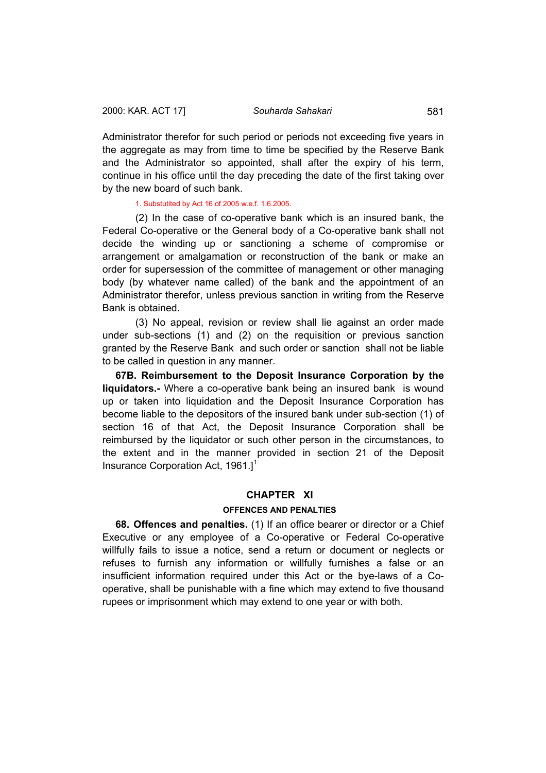<span id="page-60-0"></span>Administrator therefor for such period or periods not exceeding five years in the aggregate as may from time to time be specified by the Reserve Bank and the Administrator so appointed, shall after the expiry of his term, continue in his office until the day preceding the date of the first taking over by the new board of such bank.

#### 1. Substutited by Act 16 of 2005 w.e.f. 1.6.2005.

(2) In the case of co-operative bank which is an insured bank, the Federal Co-operative or the General body of a Co-operative bank shall not decide the winding up or sanctioning a scheme of compromise or arrangement or amalgamation or reconstruction of the bank or make an order for supersession of the committee of management or other managing body (by whatever name called) of the bank and the appointment of an Administrator therefor, unless previous sanction in writing from the Reserve Bank is obtained.

(3) No appeal, revision or review shall lie against an order made under sub-sections (1) and (2) on the requisition or previous sanction granted by the Reserve Bank and such order or sanction shall not be liable to be called in question in any manner.

**67B. Reimbursement to the Deposit Insurance Corporation by the liquidators.-** Where a co-operative bank being an insured bank is wound up or taken into liquidation and the Deposit Insurance Corporation has become liable to the depositors of the insured bank under sub-section (1) of section 16 of that Act, the Deposit Insurance Corporation shall be reimbursed by the liquidator or such other person in the circumstances, to the extent and in the manner provided in section 21 of the Deposit Insurance Corporation Act,  $1961.$ <sup>1</sup>

## **CHAPTER XI**

### **OFFENCES AND PENALTIES**

**68. Offences and penalties.** (1) If an office bearer or director or a Chief Executive or any employee of a Co-operative or Federal Co-operative willfully fails to issue a notice, send a return or document or neglects or refuses to furnish any information or willfully furnishes a false or an insufficient information required under this Act or the bye-laws of a Cooperative, shall be punishable with a fine which may extend to five thousand rupees or imprisonment which may extend to one year or with both.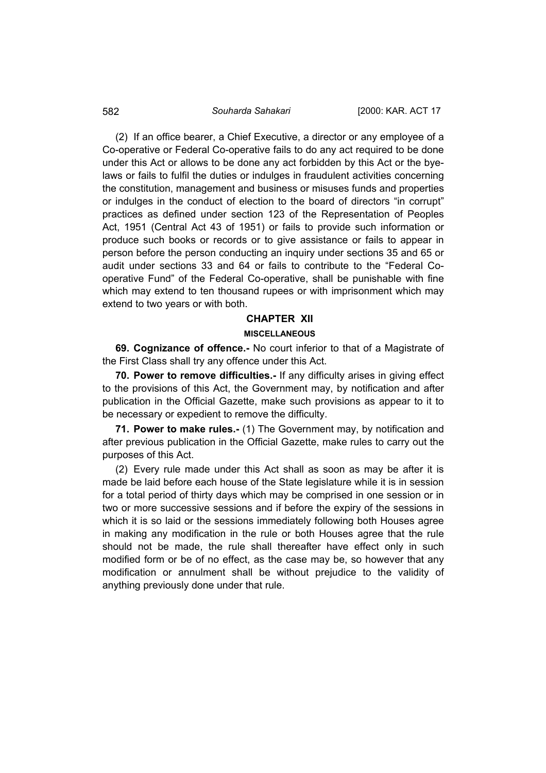(2) If an office bearer, a Chief Executive, a director or any employee of a Co-operative or Federal Co-operative fails to do any act required to be done under this Act or allows to be done any act forbidden by this Act or the byelaws or fails to fulfil the duties or indulges in fraudulent activities concerning the constitution, management and business or misuses funds and properties or indulges in the conduct of election to the board of directors "in corrupt" practices as defined under section 123 of the Representation of Peoples Act, 1951 (Central Act 43 of 1951) or fails to provide such information or produce such books or records or to give assistance or fails to appear in person before the person conducting an inquiry under sections 35 and 65 or audit under sections 33 and 64 or fails to contribute to the "Federal Cooperative Fund" of the Federal Co-operative, shall be punishable with fine which may extend to ten thousand rupees or with imprisonment which may extend to two years or with both.

## **CHAPTER XII**

#### **MISCELLANEOUS**

**69. Cognizance of offence.-** No court inferior to that of a Magistrate of the First Class shall try any offence under this Act.

**70. Power to remove difficulties.-** If any difficulty arises in giving effect to the provisions of this Act, the Government may, by notification and after publication in the Official Gazette, make such provisions as appear to it to be necessary or expedient to remove the difficulty.

**71. Power to make rules.-** (1) The Government may, by notification and after previous publication in the Official Gazette, make rules to carry out the purposes of this Act.

(2) Every rule made under this Act shall as soon as may be after it is made be laid before each house of the State legislature while it is in session for a total period of thirty days which may be comprised in one session or in two or more successive sessions and if before the expiry of the sessions in which it is so laid or the sessions immediately following both Houses agree in making any modification in the rule or both Houses agree that the rule should not be made, the rule shall thereafter have effect only in such modified form or be of no effect, as the case may be, so however that any modification or annulment shall be without prejudice to the validity of anything previously done under that rule.

<span id="page-61-0"></span>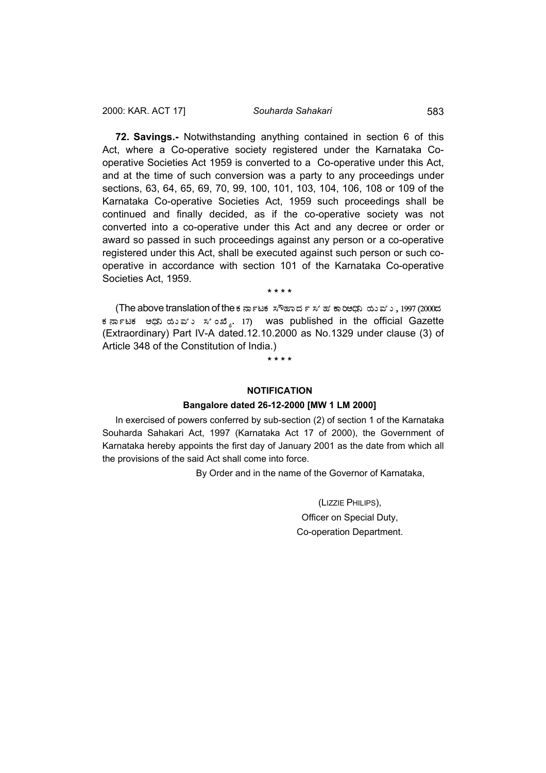<span id="page-62-0"></span>**72. Savings.-** Notwithstanding anything contained in section 6 of this Act, where a Co-operative society registered under the Karnataka Cooperative Societies Act 1959 is converted to a Co-operative under this Act, and at the time of such conversion was a party to any proceedings under sections, 63, 64, 65, 69, 70, 99, 100, 101, 103, 104, 106, 108 or 109 of the Karnataka Co-operative Societies Act, 1959 such proceedings shall be continued and finally decided, as if the co-operative society was not converted into a co-operative under this Act and any decree or order or award so passed in such proceedings against any person or a co-operative registered under this Act, shall be executed against such person or such cooperative in accordance with section 101 of the Karnataka Co-operative Societies Act, 1959.

**\* \* \* \***

(The above translation of the ಕರ್ನಾಟಕ ಸೌಹಾರ್ದೆ ಸ'ಹ' ಕಾರಿಅದಿನಿ ಯುವು ಒ. 1997 (2000ದೆ ಕರ್ನಾಟಕ ಅಧಿನಿ ಯುವು ಸಂಖ್ಯೆ. 17) was published in the official Gazette (Extraordinary) Part IV-A dated.12.10.2000 as No.1329 under clause (3) of Article 348 of the Constitution of India.)

**\* \* \* \*** 

## **NOTIFICATION**

#### **Bangalore dated 26-12-2000 [MW 1 LM 2000]**

In exercised of powers conferred by sub-section (2) of section 1 of the Karnataka Souharda Sahakari Act, 1997 (Karnataka Act 17 of 2000), the Government of Karnataka hereby appoints the first day of January 2001 as the date from which all the provisions of the said Act shall come into force.

By Order and in the name of the Governor of Karnataka,

(LIZZIE PHILIPS), Officer on Special Duty, Co-operation Department.